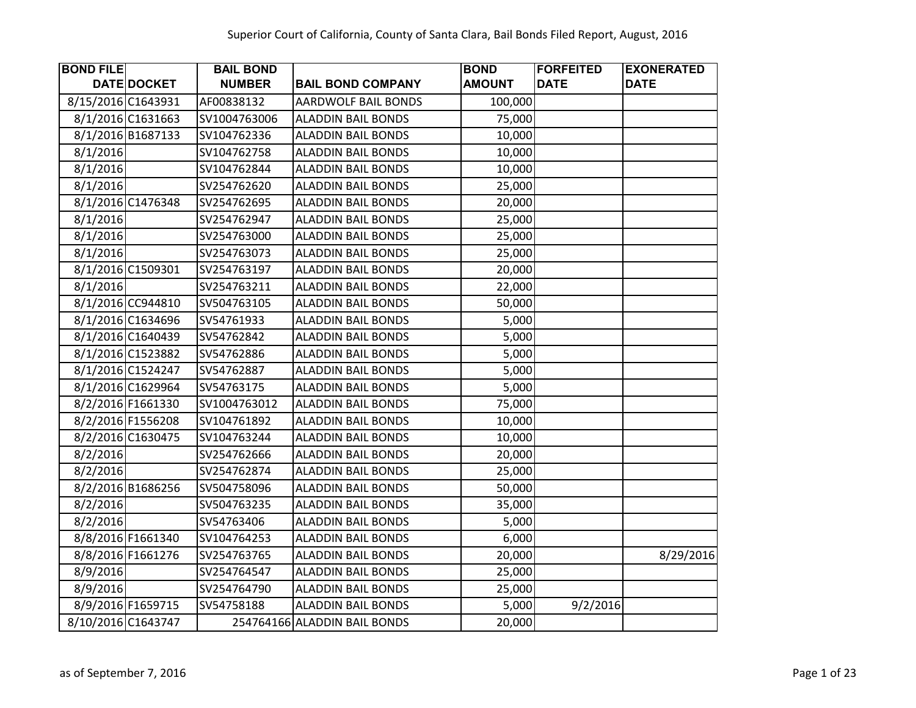| <b>BOND FILE</b>   |                    | <b>BAIL BOND</b> |                              | <b>BOND</b>   | <b>FORFEITED</b> | <b>EXONERATED</b> |
|--------------------|--------------------|------------------|------------------------------|---------------|------------------|-------------------|
|                    | <b>DATE DOCKET</b> | <b>NUMBER</b>    | <b>BAIL BOND COMPANY</b>     | <b>AMOUNT</b> | <b>DATE</b>      | <b>DATE</b>       |
| 8/15/2016 C1643931 |                    | AF00838132       | <b>AARDWOLF BAIL BONDS</b>   | 100,000       |                  |                   |
|                    | 8/1/2016 C1631663  | SV1004763006     | <b>ALADDIN BAIL BONDS</b>    | 75,000        |                  |                   |
|                    | 8/1/2016 B1687133  | SV104762336      | <b>ALADDIN BAIL BONDS</b>    | 10,000        |                  |                   |
| 8/1/2016           |                    | SV104762758      | <b>ALADDIN BAIL BONDS</b>    | 10,000        |                  |                   |
| 8/1/2016           |                    | SV104762844      | <b>ALADDIN BAIL BONDS</b>    | 10,000        |                  |                   |
| 8/1/2016           |                    | SV254762620      | <b>ALADDIN BAIL BONDS</b>    | 25,000        |                  |                   |
|                    | 8/1/2016 C1476348  | SV254762695      | <b>ALADDIN BAIL BONDS</b>    | 20,000        |                  |                   |
| 8/1/2016           |                    | SV254762947      | <b>ALADDIN BAIL BONDS</b>    | 25,000        |                  |                   |
| 8/1/2016           |                    | SV254763000      | <b>ALADDIN BAIL BONDS</b>    | 25,000        |                  |                   |
| 8/1/2016           |                    | SV254763073      | <b>ALADDIN BAIL BONDS</b>    | 25,000        |                  |                   |
|                    | 8/1/2016 C1509301  | SV254763197      | <b>ALADDIN BAIL BONDS</b>    | 20,000        |                  |                   |
| 8/1/2016           |                    | SV254763211      | <b>ALADDIN BAIL BONDS</b>    | 22,000        |                  |                   |
|                    | 8/1/2016 CC944810  | SV504763105      | <b>ALADDIN BAIL BONDS</b>    | 50,000        |                  |                   |
|                    | 8/1/2016 C1634696  | SV54761933       | <b>ALADDIN BAIL BONDS</b>    | 5,000         |                  |                   |
|                    | 8/1/2016 C1640439  | SV54762842       | <b>ALADDIN BAIL BONDS</b>    | 5,000         |                  |                   |
|                    | 8/1/2016 C1523882  | SV54762886       | <b>ALADDIN BAIL BONDS</b>    | 5,000         |                  |                   |
|                    | 8/1/2016 C1524247  | SV54762887       | <b>ALADDIN BAIL BONDS</b>    | 5,000         |                  |                   |
|                    | 8/1/2016 C1629964  | SV54763175       | <b>ALADDIN BAIL BONDS</b>    | 5,000         |                  |                   |
|                    | 8/2/2016 F1661330  | SV1004763012     | <b>ALADDIN BAIL BONDS</b>    | 75,000        |                  |                   |
|                    | 8/2/2016 F1556208  | SV104761892      | <b>ALADDIN BAIL BONDS</b>    | 10,000        |                  |                   |
|                    | 8/2/2016 C1630475  | SV104763244      | <b>ALADDIN BAIL BONDS</b>    | 10,000        |                  |                   |
| 8/2/2016           |                    | SV254762666      | <b>ALADDIN BAIL BONDS</b>    | 20,000        |                  |                   |
| 8/2/2016           |                    | SV254762874      | <b>ALADDIN BAIL BONDS</b>    | 25,000        |                  |                   |
|                    | 8/2/2016 B1686256  | SV504758096      | <b>ALADDIN BAIL BONDS</b>    | 50,000        |                  |                   |
| 8/2/2016           |                    | SV504763235      | <b>ALADDIN BAIL BONDS</b>    | 35,000        |                  |                   |
| 8/2/2016           |                    | SV54763406       | <b>ALADDIN BAIL BONDS</b>    | 5,000         |                  |                   |
|                    | 8/8/2016 F1661340  | SV104764253      | <b>ALADDIN BAIL BONDS</b>    | 6,000         |                  |                   |
|                    | 8/8/2016 F1661276  | SV254763765      | <b>ALADDIN BAIL BONDS</b>    | 20,000        |                  | 8/29/2016         |
| 8/9/2016           |                    | SV254764547      | <b>ALADDIN BAIL BONDS</b>    | 25,000        |                  |                   |
| 8/9/2016           |                    | SV254764790      | <b>ALADDIN BAIL BONDS</b>    | 25,000        |                  |                   |
|                    | 8/9/2016 F1659715  | SV54758188       | <b>ALADDIN BAIL BONDS</b>    | 5,000         | 9/2/2016         |                   |
| 8/10/2016 C1643747 |                    |                  | 254764166 ALADDIN BAIL BONDS | 20,000        |                  |                   |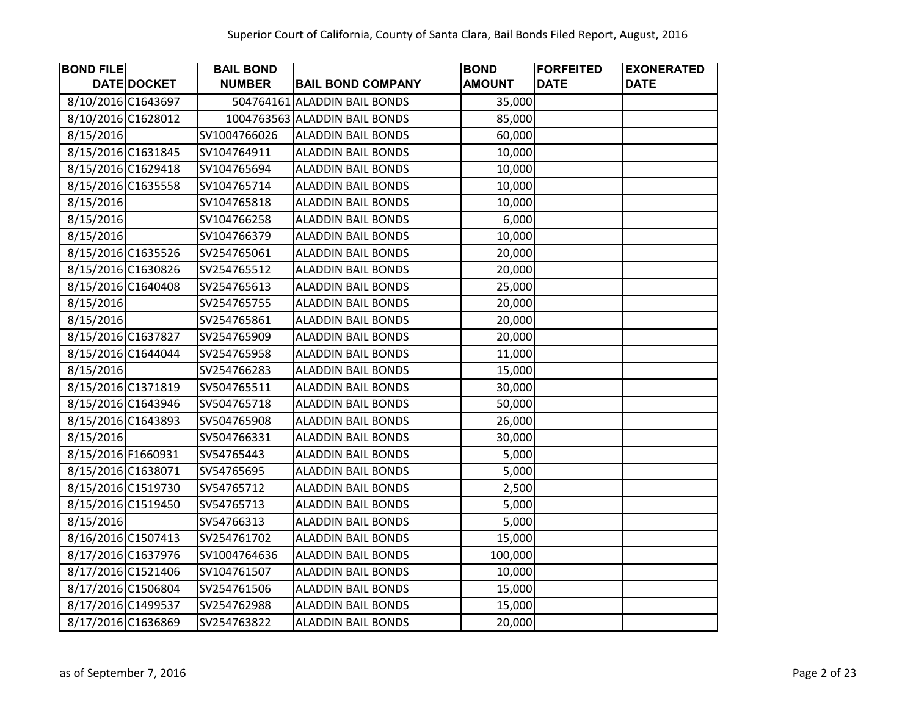| <b>BOND FILE</b>   |             | <b>BAIL BOND</b> |                               | <b>BOND</b>   | <b>FORFEITED</b> | <b>EXONERATED</b> |
|--------------------|-------------|------------------|-------------------------------|---------------|------------------|-------------------|
|                    | DATE DOCKET | <b>NUMBER</b>    | <b>BAIL BOND COMPANY</b>      | <b>AMOUNT</b> | <b>DATE</b>      | <b>DATE</b>       |
| 8/10/2016 C1643697 |             |                  | 504764161 ALADDIN BAIL BONDS  | 35,000        |                  |                   |
| 8/10/2016 C1628012 |             |                  | 1004763563 ALADDIN BAIL BONDS | 85,000        |                  |                   |
| 8/15/2016          |             | SV1004766026     | <b>ALADDIN BAIL BONDS</b>     | 60,000        |                  |                   |
| 8/15/2016 C1631845 |             | SV104764911      | <b>ALADDIN BAIL BONDS</b>     | 10,000        |                  |                   |
| 8/15/2016 C1629418 |             | SV104765694      | <b>ALADDIN BAIL BONDS</b>     | 10,000        |                  |                   |
| 8/15/2016 C1635558 |             | SV104765714      | <b>ALADDIN BAIL BONDS</b>     | 10,000        |                  |                   |
| 8/15/2016          |             | SV104765818      | <b>ALADDIN BAIL BONDS</b>     | 10,000        |                  |                   |
| 8/15/2016          |             | SV104766258      | <b>ALADDIN BAIL BONDS</b>     | 6,000         |                  |                   |
| 8/15/2016          |             | SV104766379      | <b>ALADDIN BAIL BONDS</b>     | 10,000        |                  |                   |
| 8/15/2016 C1635526 |             | SV254765061      | <b>ALADDIN BAIL BONDS</b>     | 20,000        |                  |                   |
| 8/15/2016 C1630826 |             | SV254765512      | <b>ALADDIN BAIL BONDS</b>     | 20,000        |                  |                   |
| 8/15/2016 C1640408 |             | SV254765613      | <b>ALADDIN BAIL BONDS</b>     | 25,000        |                  |                   |
| 8/15/2016          |             | SV254765755      | <b>ALADDIN BAIL BONDS</b>     | 20,000        |                  |                   |
| 8/15/2016          |             | SV254765861      | <b>ALADDIN BAIL BONDS</b>     | 20,000        |                  |                   |
| 8/15/2016 C1637827 |             | SV254765909      | <b>ALADDIN BAIL BONDS</b>     | 20,000        |                  |                   |
| 8/15/2016 C1644044 |             | SV254765958      | <b>ALADDIN BAIL BONDS</b>     | 11,000        |                  |                   |
| 8/15/2016          |             | SV254766283      | <b>ALADDIN BAIL BONDS</b>     | 15,000        |                  |                   |
| 8/15/2016 C1371819 |             | SV504765511      | <b>ALADDIN BAIL BONDS</b>     | 30,000        |                  |                   |
| 8/15/2016 C1643946 |             | SV504765718      | <b>ALADDIN BAIL BONDS</b>     | 50,000        |                  |                   |
| 8/15/2016 C1643893 |             | SV504765908      | <b>ALADDIN BAIL BONDS</b>     | 26,000        |                  |                   |
| 8/15/2016          |             | SV504766331      | <b>ALADDIN BAIL BONDS</b>     | 30,000        |                  |                   |
| 8/15/2016 F1660931 |             | SV54765443       | <b>ALADDIN BAIL BONDS</b>     | 5,000         |                  |                   |
| 8/15/2016 C1638071 |             | SV54765695       | <b>ALADDIN BAIL BONDS</b>     | 5,000         |                  |                   |
| 8/15/2016 C1519730 |             | SV54765712       | <b>ALADDIN BAIL BONDS</b>     | 2,500         |                  |                   |
| 8/15/2016 C1519450 |             | SV54765713       | <b>ALADDIN BAIL BONDS</b>     | 5,000         |                  |                   |
| 8/15/2016          |             | SV54766313       | <b>ALADDIN BAIL BONDS</b>     | 5,000         |                  |                   |
| 8/16/2016 C1507413 |             | SV254761702      | <b>ALADDIN BAIL BONDS</b>     | 15,000        |                  |                   |
| 8/17/2016 C1637976 |             | SV1004764636     | <b>ALADDIN BAIL BONDS</b>     | 100,000       |                  |                   |
| 8/17/2016 C1521406 |             | SV104761507      | <b>ALADDIN BAIL BONDS</b>     | 10,000        |                  |                   |
| 8/17/2016 C1506804 |             | SV254761506      | <b>ALADDIN BAIL BONDS</b>     | 15,000        |                  |                   |
| 8/17/2016 C1499537 |             | SV254762988      | <b>ALADDIN BAIL BONDS</b>     | 15,000        |                  |                   |
| 8/17/2016 C1636869 |             | SV254763822      | <b>ALADDIN BAIL BONDS</b>     | 20,000        |                  |                   |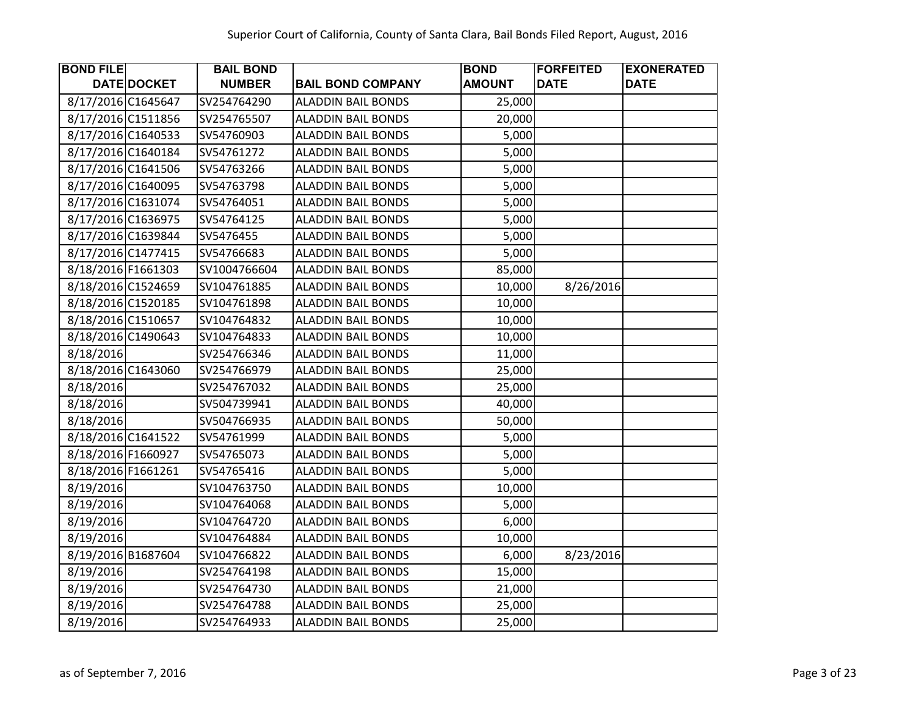| <b>BOND FILE</b>   |             | <b>BAIL BOND</b> |                           | <b>BOND</b>   | <b>FORFEITED</b> | <b>EXONERATED</b> |
|--------------------|-------------|------------------|---------------------------|---------------|------------------|-------------------|
|                    | DATE DOCKET | <b>NUMBER</b>    | <b>BAIL BOND COMPANY</b>  | <b>AMOUNT</b> | <b>DATE</b>      | <b>DATE</b>       |
| 8/17/2016 C1645647 |             | SV254764290      | <b>ALADDIN BAIL BONDS</b> | 25,000        |                  |                   |
| 8/17/2016 C1511856 |             | SV254765507      | <b>ALADDIN BAIL BONDS</b> | 20,000        |                  |                   |
| 8/17/2016 C1640533 |             | SV54760903       | <b>ALADDIN BAIL BONDS</b> | 5,000         |                  |                   |
| 8/17/2016 C1640184 |             | SV54761272       | <b>ALADDIN BAIL BONDS</b> | 5,000         |                  |                   |
| 8/17/2016 C1641506 |             | SV54763266       | <b>ALADDIN BAIL BONDS</b> | 5,000         |                  |                   |
| 8/17/2016 C1640095 |             | SV54763798       | <b>ALADDIN BAIL BONDS</b> | 5,000         |                  |                   |
| 8/17/2016 C1631074 |             | SV54764051       | <b>ALADDIN BAIL BONDS</b> | 5,000         |                  |                   |
| 8/17/2016 C1636975 |             | SV54764125       | <b>ALADDIN BAIL BONDS</b> | 5,000         |                  |                   |
| 8/17/2016 C1639844 |             | SV5476455        | <b>ALADDIN BAIL BONDS</b> | 5,000         |                  |                   |
| 8/17/2016 C1477415 |             | SV54766683       | <b>ALADDIN BAIL BONDS</b> | 5,000         |                  |                   |
| 8/18/2016 F1661303 |             | SV1004766604     | <b>ALADDIN BAIL BONDS</b> | 85,000        |                  |                   |
| 8/18/2016 C1524659 |             | SV104761885      | <b>ALADDIN BAIL BONDS</b> | 10,000        | 8/26/2016        |                   |
| 8/18/2016 C1520185 |             | SV104761898      | <b>ALADDIN BAIL BONDS</b> | 10,000        |                  |                   |
| 8/18/2016 C1510657 |             | SV104764832      | <b>ALADDIN BAIL BONDS</b> | 10,000        |                  |                   |
| 8/18/2016 C1490643 |             | SV104764833      | <b>ALADDIN BAIL BONDS</b> | 10,000        |                  |                   |
| 8/18/2016          |             | SV254766346      | <b>ALADDIN BAIL BONDS</b> | 11,000        |                  |                   |
| 8/18/2016 C1643060 |             | SV254766979      | <b>ALADDIN BAIL BONDS</b> | 25,000        |                  |                   |
| 8/18/2016          |             | SV254767032      | <b>ALADDIN BAIL BONDS</b> | 25,000        |                  |                   |
| 8/18/2016          |             | SV504739941      | <b>ALADDIN BAIL BONDS</b> | 40,000        |                  |                   |
| 8/18/2016          |             | SV504766935      | <b>ALADDIN BAIL BONDS</b> | 50,000        |                  |                   |
| 8/18/2016 C1641522 |             | SV54761999       | <b>ALADDIN BAIL BONDS</b> | 5,000         |                  |                   |
| 8/18/2016 F1660927 |             | SV54765073       | <b>ALADDIN BAIL BONDS</b> | 5,000         |                  |                   |
| 8/18/2016 F1661261 |             | SV54765416       | <b>ALADDIN BAIL BONDS</b> | 5,000         |                  |                   |
| 8/19/2016          |             | SV104763750      | <b>ALADDIN BAIL BONDS</b> | 10,000        |                  |                   |
| 8/19/2016          |             | SV104764068      | <b>ALADDIN BAIL BONDS</b> | 5,000         |                  |                   |
| 8/19/2016          |             | SV104764720      | <b>ALADDIN BAIL BONDS</b> | 6,000         |                  |                   |
| 8/19/2016          |             | SV104764884      | <b>ALADDIN BAIL BONDS</b> | 10,000        |                  |                   |
| 8/19/2016 B1687604 |             | SV104766822      | <b>ALADDIN BAIL BONDS</b> | 6,000         | 8/23/2016        |                   |
| 8/19/2016          |             | SV254764198      | <b>ALADDIN BAIL BONDS</b> | 15,000        |                  |                   |
| 8/19/2016          |             | SV254764730      | <b>ALADDIN BAIL BONDS</b> | 21,000        |                  |                   |
| 8/19/2016          |             | SV254764788      | <b>ALADDIN BAIL BONDS</b> | 25,000        |                  |                   |
| 8/19/2016          |             | SV254764933      | <b>ALADDIN BAIL BONDS</b> | 25,000        |                  |                   |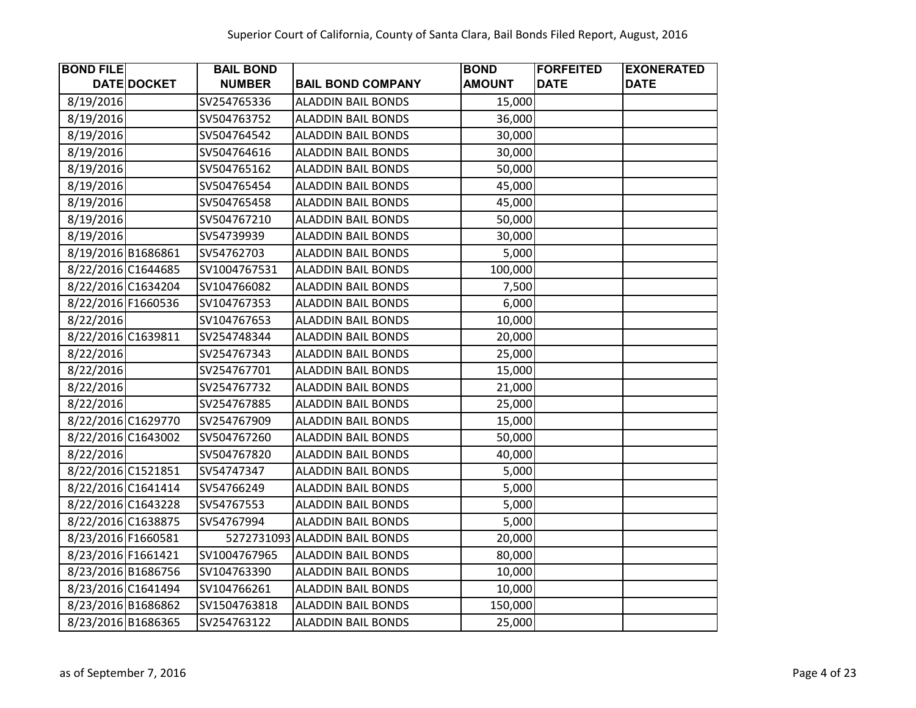| <b>BOND FILE</b>   | <b>BAIL BOND</b> |                               | <b>BOND</b>   | <b>FORFEITED</b> | <b>EXONERATED</b> |
|--------------------|------------------|-------------------------------|---------------|------------------|-------------------|
| <b>DATE DOCKET</b> | <b>NUMBER</b>    | <b>BAIL BOND COMPANY</b>      | <b>AMOUNT</b> | <b>DATE</b>      | <b>DATE</b>       |
| 8/19/2016          | SV254765336      | <b>ALADDIN BAIL BONDS</b>     | 15,000        |                  |                   |
| 8/19/2016          | SV504763752      | <b>ALADDIN BAIL BONDS</b>     | 36,000        |                  |                   |
| 8/19/2016          | SV504764542      | <b>ALADDIN BAIL BONDS</b>     | 30,000        |                  |                   |
| 8/19/2016          | SV504764616      | <b>ALADDIN BAIL BONDS</b>     | 30,000        |                  |                   |
| 8/19/2016          | SV504765162      | <b>ALADDIN BAIL BONDS</b>     | 50,000        |                  |                   |
| 8/19/2016          | SV504765454      | <b>ALADDIN BAIL BONDS</b>     | 45,000        |                  |                   |
| 8/19/2016          | SV504765458      | <b>ALADDIN BAIL BONDS</b>     | 45,000        |                  |                   |
| 8/19/2016          | SV504767210      | <b>ALADDIN BAIL BONDS</b>     | 50,000        |                  |                   |
| 8/19/2016          | SV54739939       | <b>ALADDIN BAIL BONDS</b>     | 30,000        |                  |                   |
| 8/19/2016 B1686861 | SV54762703       | <b>ALADDIN BAIL BONDS</b>     | 5,000         |                  |                   |
| 8/22/2016 C1644685 | SV1004767531     | <b>ALADDIN BAIL BONDS</b>     | 100,000       |                  |                   |
| 8/22/2016 C1634204 | SV104766082      | <b>ALADDIN BAIL BONDS</b>     | 7,500         |                  |                   |
| 8/22/2016 F1660536 | SV104767353      | <b>ALADDIN BAIL BONDS</b>     | 6,000         |                  |                   |
| 8/22/2016          | SV104767653      | <b>ALADDIN BAIL BONDS</b>     | 10,000        |                  |                   |
| 8/22/2016 C1639811 | SV254748344      | <b>ALADDIN BAIL BONDS</b>     | 20,000        |                  |                   |
| 8/22/2016          | SV254767343      | <b>ALADDIN BAIL BONDS</b>     | 25,000        |                  |                   |
| 8/22/2016          | SV254767701      | <b>ALADDIN BAIL BONDS</b>     | 15,000        |                  |                   |
| 8/22/2016          | SV254767732      | <b>ALADDIN BAIL BONDS</b>     | 21,000        |                  |                   |
| 8/22/2016          | SV254767885      | <b>ALADDIN BAIL BONDS</b>     | 25,000        |                  |                   |
| 8/22/2016 C1629770 | SV254767909      | <b>ALADDIN BAIL BONDS</b>     | 15,000        |                  |                   |
| 8/22/2016 C1643002 | SV504767260      | <b>ALADDIN BAIL BONDS</b>     | 50,000        |                  |                   |
| 8/22/2016          | SV504767820      | <b>ALADDIN BAIL BONDS</b>     | 40,000        |                  |                   |
| 8/22/2016 C1521851 | SV54747347       | <b>ALADDIN BAIL BONDS</b>     | 5,000         |                  |                   |
| 8/22/2016 C1641414 | SV54766249       | <b>ALADDIN BAIL BONDS</b>     | 5,000         |                  |                   |
| 8/22/2016 C1643228 | SV54767553       | <b>ALADDIN BAIL BONDS</b>     | 5,000         |                  |                   |
| 8/22/2016 C1638875 | SV54767994       | <b>ALADDIN BAIL BONDS</b>     | 5,000         |                  |                   |
| 8/23/2016 F1660581 |                  | 5272731093 ALADDIN BAIL BONDS | 20,000        |                  |                   |
| 8/23/2016 F1661421 | SV1004767965     | <b>ALADDIN BAIL BONDS</b>     | 80,000        |                  |                   |
| 8/23/2016 B1686756 | SV104763390      | <b>ALADDIN BAIL BONDS</b>     | 10,000        |                  |                   |
| 8/23/2016 C1641494 | SV104766261      | <b>ALADDIN BAIL BONDS</b>     | 10,000        |                  |                   |
| 8/23/2016 B1686862 | SV1504763818     | <b>ALADDIN BAIL BONDS</b>     | 150,000       |                  |                   |
| 8/23/2016 B1686365 | SV254763122      | <b>ALADDIN BAIL BONDS</b>     | 25,000        |                  |                   |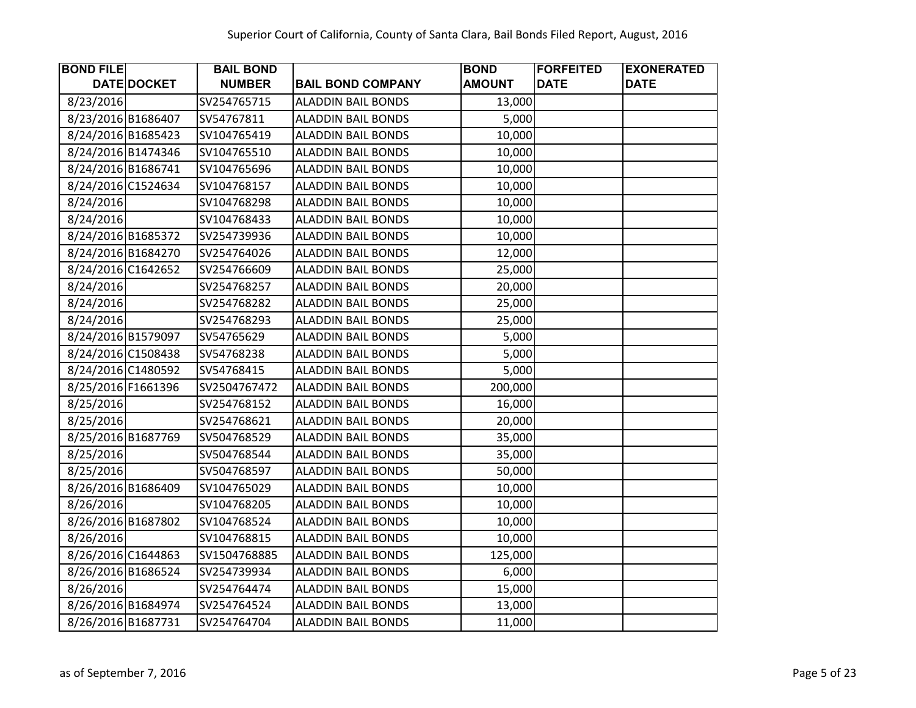| <b>BOND FILE</b>   | <b>BAIL BOND</b> |                           | <b>BOND</b>   | <b>FORFEITED</b> | <b>EXONERATED</b> |
|--------------------|------------------|---------------------------|---------------|------------------|-------------------|
| DATE DOCKET        | <b>NUMBER</b>    | <b>BAIL BOND COMPANY</b>  | <b>AMOUNT</b> | <b>DATE</b>      | <b>DATE</b>       |
| 8/23/2016          | SV254765715      | <b>ALADDIN BAIL BONDS</b> | 13,000        |                  |                   |
| 8/23/2016 B1686407 | SV54767811       | <b>ALADDIN BAIL BONDS</b> | 5,000         |                  |                   |
| 8/24/2016 B1685423 | SV104765419      | <b>ALADDIN BAIL BONDS</b> | 10,000        |                  |                   |
| 8/24/2016 B1474346 | SV104765510      | <b>ALADDIN BAIL BONDS</b> | 10,000        |                  |                   |
| 8/24/2016 B1686741 | SV104765696      | <b>ALADDIN BAIL BONDS</b> | 10,000        |                  |                   |
| 8/24/2016 C1524634 | SV104768157      | <b>ALADDIN BAIL BONDS</b> | 10,000        |                  |                   |
| 8/24/2016          | SV104768298      | <b>ALADDIN BAIL BONDS</b> | 10,000        |                  |                   |
| 8/24/2016          | SV104768433      | <b>ALADDIN BAIL BONDS</b> | 10,000        |                  |                   |
| 8/24/2016 B1685372 | SV254739936      | <b>ALADDIN BAIL BONDS</b> | 10,000        |                  |                   |
| 8/24/2016 B1684270 | SV254764026      | <b>ALADDIN BAIL BONDS</b> | 12,000        |                  |                   |
| 8/24/2016 C1642652 | SV254766609      | <b>ALADDIN BAIL BONDS</b> | 25,000        |                  |                   |
| 8/24/2016          | SV254768257      | <b>ALADDIN BAIL BONDS</b> | 20,000        |                  |                   |
| 8/24/2016          | SV254768282      | <b>ALADDIN BAIL BONDS</b> | 25,000        |                  |                   |
| 8/24/2016          | SV254768293      | <b>ALADDIN BAIL BONDS</b> | 25,000        |                  |                   |
| 8/24/2016 B1579097 | SV54765629       | <b>ALADDIN BAIL BONDS</b> | 5,000         |                  |                   |
| 8/24/2016 C1508438 | SV54768238       | <b>ALADDIN BAIL BONDS</b> | 5,000         |                  |                   |
| 8/24/2016 C1480592 | SV54768415       | <b>ALADDIN BAIL BONDS</b> | 5,000         |                  |                   |
| 8/25/2016 F1661396 | SV2504767472     | <b>ALADDIN BAIL BONDS</b> | 200,000       |                  |                   |
| 8/25/2016          | SV254768152      | <b>ALADDIN BAIL BONDS</b> | 16,000        |                  |                   |
| 8/25/2016          | SV254768621      | <b>ALADDIN BAIL BONDS</b> | 20,000        |                  |                   |
| 8/25/2016 B1687769 | SV504768529      | <b>ALADDIN BAIL BONDS</b> | 35,000        |                  |                   |
| 8/25/2016          | SV504768544      | <b>ALADDIN BAIL BONDS</b> | 35,000        |                  |                   |
| 8/25/2016          | SV504768597      | <b>ALADDIN BAIL BONDS</b> | 50,000        |                  |                   |
| 8/26/2016 B1686409 | SV104765029      | <b>ALADDIN BAIL BONDS</b> | 10,000        |                  |                   |
| 8/26/2016          | SV104768205      | <b>ALADDIN BAIL BONDS</b> | 10,000        |                  |                   |
| 8/26/2016 B1687802 | SV104768524      | <b>ALADDIN BAIL BONDS</b> | 10,000        |                  |                   |
| 8/26/2016          | SV104768815      | <b>ALADDIN BAIL BONDS</b> | 10,000        |                  |                   |
| 8/26/2016 C1644863 | SV1504768885     | <b>ALADDIN BAIL BONDS</b> | 125,000       |                  |                   |
| 8/26/2016 B1686524 | SV254739934      | <b>ALADDIN BAIL BONDS</b> | 6,000         |                  |                   |
| 8/26/2016          | SV254764474      | <b>ALADDIN BAIL BONDS</b> | 15,000        |                  |                   |
| 8/26/2016 B1684974 | SV254764524      | <b>ALADDIN BAIL BONDS</b> | 13,000        |                  |                   |
| 8/26/2016 B1687731 | SV254764704      | <b>ALADDIN BAIL BONDS</b> | 11,000        |                  |                   |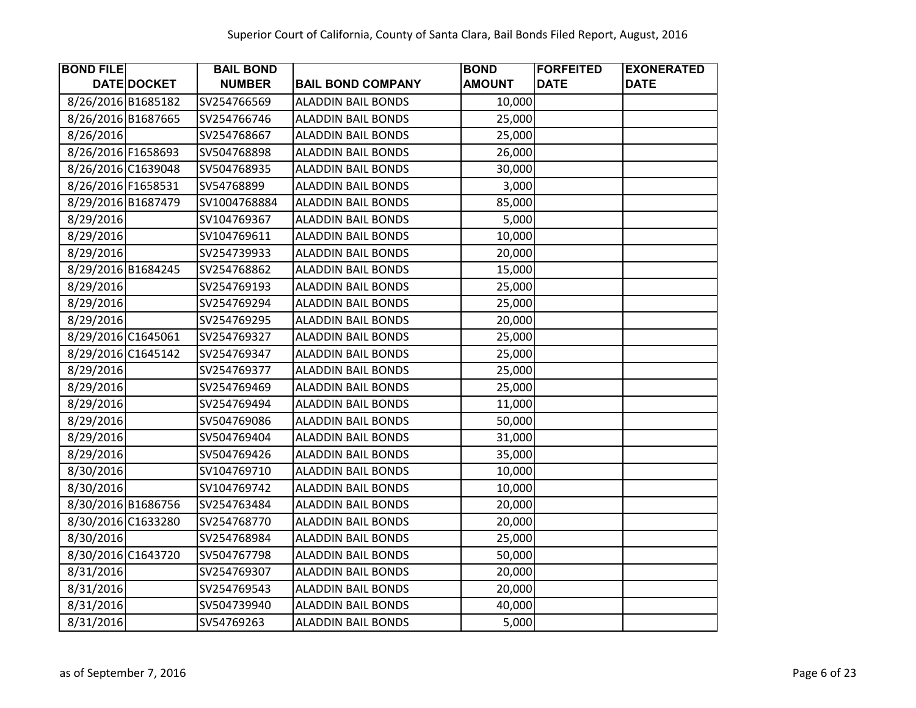| <b>BOND FILE</b>   | <b>BAIL BOND</b> |                           | <b>BOND</b>   | <b>FORFEITED</b> | <b>EXONERATED</b> |
|--------------------|------------------|---------------------------|---------------|------------------|-------------------|
| DATE DOCKET        | <b>NUMBER</b>    | <b>BAIL BOND COMPANY</b>  | <b>AMOUNT</b> | <b>DATE</b>      | <b>DATE</b>       |
| 8/26/2016 B1685182 | SV254766569      | <b>ALADDIN BAIL BONDS</b> | 10,000        |                  |                   |
| 8/26/2016 B1687665 | SV254766746      | <b>ALADDIN BAIL BONDS</b> | 25,000        |                  |                   |
| 8/26/2016          | SV254768667      | <b>ALADDIN BAIL BONDS</b> | 25,000        |                  |                   |
| 8/26/2016 F1658693 | SV504768898      | <b>ALADDIN BAIL BONDS</b> | 26,000        |                  |                   |
| 8/26/2016 C1639048 | SV504768935      | <b>ALADDIN BAIL BONDS</b> | 30,000        |                  |                   |
| 8/26/2016 F1658531 | SV54768899       | <b>ALADDIN BAIL BONDS</b> | 3,000         |                  |                   |
| 8/29/2016 B1687479 | SV1004768884     | <b>ALADDIN BAIL BONDS</b> | 85,000        |                  |                   |
| 8/29/2016          | SV104769367      | <b>ALADDIN BAIL BONDS</b> | 5,000         |                  |                   |
| 8/29/2016          | SV104769611      | <b>ALADDIN BAIL BONDS</b> | 10,000        |                  |                   |
| 8/29/2016          | SV254739933      | <b>ALADDIN BAIL BONDS</b> | 20,000        |                  |                   |
| 8/29/2016 B1684245 | SV254768862      | <b>ALADDIN BAIL BONDS</b> | 15,000        |                  |                   |
| 8/29/2016          | SV254769193      | <b>ALADDIN BAIL BONDS</b> | 25,000        |                  |                   |
| 8/29/2016          | SV254769294      | <b>ALADDIN BAIL BONDS</b> | 25,000        |                  |                   |
| 8/29/2016          | SV254769295      | <b>ALADDIN BAIL BONDS</b> | 20,000        |                  |                   |
| 8/29/2016 C1645061 | SV254769327      | <b>ALADDIN BAIL BONDS</b> | 25,000        |                  |                   |
| 8/29/2016 C1645142 | SV254769347      | <b>ALADDIN BAIL BONDS</b> | 25,000        |                  |                   |
| 8/29/2016          | SV254769377      | <b>ALADDIN BAIL BONDS</b> | 25,000        |                  |                   |
| 8/29/2016          | SV254769469      | <b>ALADDIN BAIL BONDS</b> | 25,000        |                  |                   |
| 8/29/2016          | SV254769494      | <b>ALADDIN BAIL BONDS</b> | 11,000        |                  |                   |
| 8/29/2016          | SV504769086      | <b>ALADDIN BAIL BONDS</b> | 50,000        |                  |                   |
| 8/29/2016          | SV504769404      | <b>ALADDIN BAIL BONDS</b> | 31,000        |                  |                   |
| 8/29/2016          | SV504769426      | <b>ALADDIN BAIL BONDS</b> | 35,000        |                  |                   |
| 8/30/2016          | SV104769710      | <b>ALADDIN BAIL BONDS</b> | 10,000        |                  |                   |
| 8/30/2016          | SV104769742      | <b>ALADDIN BAIL BONDS</b> | 10,000        |                  |                   |
| 8/30/2016 B1686756 | SV254763484      | <b>ALADDIN BAIL BONDS</b> | 20,000        |                  |                   |
| 8/30/2016 C1633280 | SV254768770      | <b>ALADDIN BAIL BONDS</b> | 20,000        |                  |                   |
| 8/30/2016          | SV254768984      | <b>ALADDIN BAIL BONDS</b> | 25,000        |                  |                   |
| 8/30/2016 C1643720 | SV504767798      | <b>ALADDIN BAIL BONDS</b> | 50,000        |                  |                   |
| 8/31/2016          | SV254769307      | <b>ALADDIN BAIL BONDS</b> | 20,000        |                  |                   |
| 8/31/2016          | SV254769543      | <b>ALADDIN BAIL BONDS</b> | 20,000        |                  |                   |
| 8/31/2016          | SV504739940      | <b>ALADDIN BAIL BONDS</b> | 40,000        |                  |                   |
| 8/31/2016          | SV54769263       | <b>ALADDIN BAIL BONDS</b> | 5,000         |                  |                   |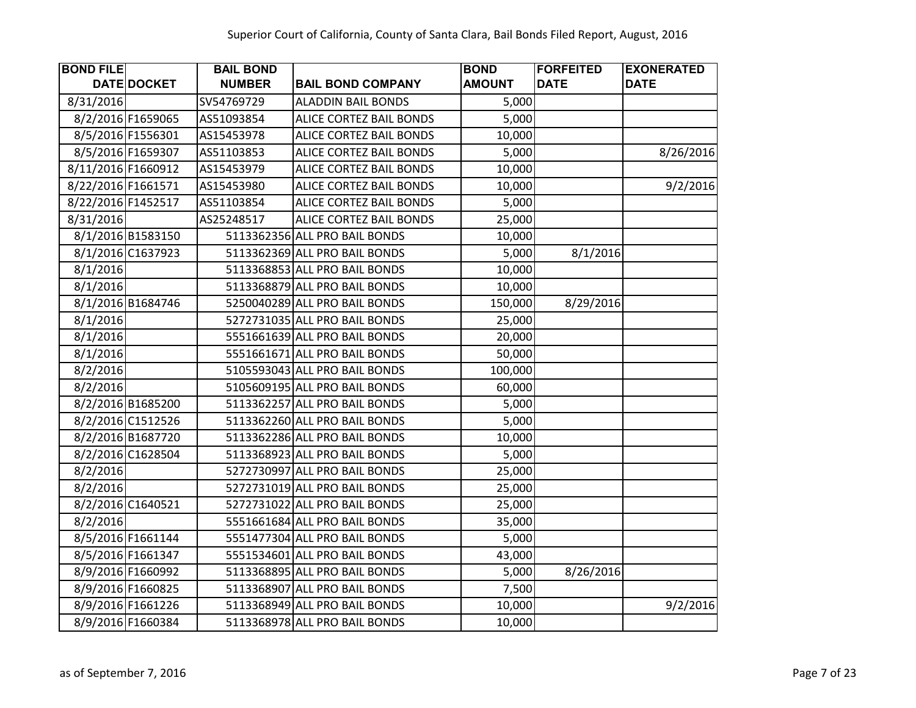| <b>BOND FILE</b>   | <b>BAIL BOND</b> |                                | <b>BOND</b>   | <b>FORFEITED</b> | <b>EXONERATED</b> |
|--------------------|------------------|--------------------------------|---------------|------------------|-------------------|
| <b>DATE DOCKET</b> | <b>NUMBER</b>    | <b>BAIL BOND COMPANY</b>       | <b>AMOUNT</b> | <b>DATE</b>      | <b>DATE</b>       |
| 8/31/2016          | SV54769729       | <b>ALADDIN BAIL BONDS</b>      | 5,000         |                  |                   |
| 8/2/2016 F1659065  | AS51093854       | <b>ALICE CORTEZ BAIL BONDS</b> | 5,000         |                  |                   |
| 8/5/2016 F1556301  | AS15453978       | ALICE CORTEZ BAIL BONDS        | 10,000        |                  |                   |
| 8/5/2016 F1659307  | AS51103853       | ALICE CORTEZ BAIL BONDS        | 5,000         |                  | 8/26/2016         |
| 8/11/2016 F1660912 | AS15453979       | ALICE CORTEZ BAIL BONDS        | 10,000        |                  |                   |
| 8/22/2016 F1661571 | AS15453980       | ALICE CORTEZ BAIL BONDS        | 10,000        |                  | 9/2/2016          |
| 8/22/2016 F1452517 | AS51103854       | ALICE CORTEZ BAIL BONDS        | 5,000         |                  |                   |
| 8/31/2016          | AS25248517       | <b>ALICE CORTEZ BAIL BONDS</b> | 25,000        |                  |                   |
| 8/1/2016 B1583150  |                  | 5113362356 ALL PRO BAIL BONDS  | 10,000        |                  |                   |
| 8/1/2016 C1637923  |                  | 5113362369 ALL PRO BAIL BONDS  | 5,000         | 8/1/2016         |                   |
| 8/1/2016           |                  | 5113368853 ALL PRO BAIL BONDS  | 10,000        |                  |                   |
| 8/1/2016           |                  | 5113368879 ALL PRO BAIL BONDS  | 10,000        |                  |                   |
| 8/1/2016 B1684746  |                  | 5250040289 ALL PRO BAIL BONDS  | 150,000       | 8/29/2016        |                   |
| 8/1/2016           |                  | 5272731035 ALL PRO BAIL BONDS  | 25,000        |                  |                   |
| 8/1/2016           |                  | 5551661639 ALL PRO BAIL BONDS  | 20,000        |                  |                   |
| 8/1/2016           |                  | 5551661671 ALL PRO BAIL BONDS  | 50,000        |                  |                   |
| 8/2/2016           |                  | 5105593043 ALL PRO BAIL BONDS  | 100,000       |                  |                   |
| 8/2/2016           |                  | 5105609195 ALL PRO BAIL BONDS  | 60,000        |                  |                   |
| 8/2/2016 B1685200  |                  | 5113362257 ALL PRO BAIL BONDS  | 5,000         |                  |                   |
| 8/2/2016 C1512526  |                  | 5113362260 ALL PRO BAIL BONDS  | 5,000         |                  |                   |
| 8/2/2016 B1687720  |                  | 5113362286 ALL PRO BAIL BONDS  | 10,000        |                  |                   |
| 8/2/2016 C1628504  |                  | 5113368923 ALL PRO BAIL BONDS  | 5,000         |                  |                   |
| 8/2/2016           |                  | 5272730997 ALL PRO BAIL BONDS  | 25,000        |                  |                   |
| 8/2/2016           |                  | 5272731019 ALL PRO BAIL BONDS  | 25,000        |                  |                   |
| 8/2/2016 C1640521  |                  | 5272731022 ALL PRO BAIL BONDS  | 25,000        |                  |                   |
| 8/2/2016           |                  | 5551661684 ALL PRO BAIL BONDS  | 35,000        |                  |                   |
| 8/5/2016 F1661144  |                  | 5551477304 ALL PRO BAIL BONDS  | 5,000         |                  |                   |
| 8/5/2016 F1661347  |                  | 5551534601 ALL PRO BAIL BONDS  | 43,000        |                  |                   |
| 8/9/2016 F1660992  |                  | 5113368895 ALL PRO BAIL BONDS  | 5,000         | 8/26/2016        |                   |
| 8/9/2016 F1660825  |                  | 5113368907 ALL PRO BAIL BONDS  | 7,500         |                  |                   |
| 8/9/2016 F1661226  |                  | 5113368949 ALL PRO BAIL BONDS  | 10,000        |                  | 9/2/2016          |
| 8/9/2016 F1660384  |                  | 5113368978 ALL PRO BAIL BONDS  | 10,000        |                  |                   |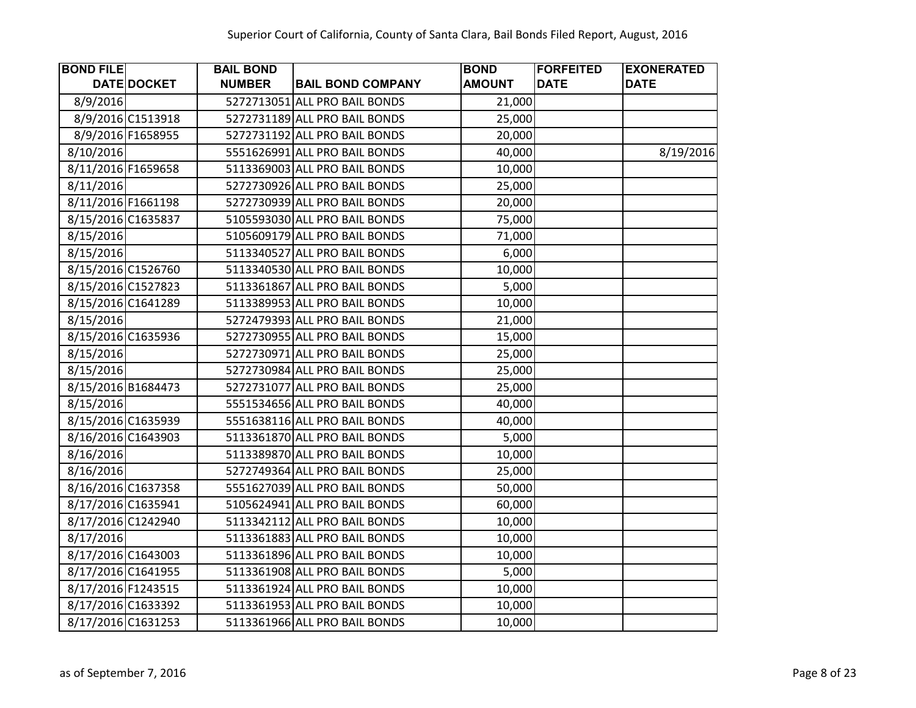| <b>BOND FILE</b>   | <b>BAIL BOND</b> |                               | <b>BOND</b>   | <b>FORFEITED</b> | <b>EXONERATED</b> |
|--------------------|------------------|-------------------------------|---------------|------------------|-------------------|
| DATE DOCKET        | <b>NUMBER</b>    | <b>BAIL BOND COMPANY</b>      | <b>AMOUNT</b> | <b>DATE</b>      | <b>DATE</b>       |
| 8/9/2016           |                  | 5272713051 ALL PRO BAIL BONDS | 21,000        |                  |                   |
| 8/9/2016 C1513918  |                  | 5272731189 ALL PRO BAIL BONDS | 25,000        |                  |                   |
| 8/9/2016 F1658955  |                  | 5272731192 ALL PRO BAIL BONDS | 20,000        |                  |                   |
| 8/10/2016          |                  | 5551626991 ALL PRO BAIL BONDS | 40,000        |                  | 8/19/2016         |
| 8/11/2016 F1659658 |                  | 5113369003 ALL PRO BAIL BONDS | 10,000        |                  |                   |
| 8/11/2016          |                  | 5272730926 ALL PRO BAIL BONDS | 25,000        |                  |                   |
| 8/11/2016 F1661198 |                  | 5272730939 ALL PRO BAIL BONDS | 20,000        |                  |                   |
| 8/15/2016 C1635837 |                  | 5105593030 ALL PRO BAIL BONDS | 75,000        |                  |                   |
| 8/15/2016          |                  | 5105609179 ALL PRO BAIL BONDS | 71,000        |                  |                   |
| 8/15/2016          |                  | 5113340527 ALL PRO BAIL BONDS | 6,000         |                  |                   |
| 8/15/2016 C1526760 |                  | 5113340530 ALL PRO BAIL BONDS | 10,000        |                  |                   |
| 8/15/2016 C1527823 |                  | 5113361867 ALL PRO BAIL BONDS | 5,000         |                  |                   |
| 8/15/2016 C1641289 |                  | 5113389953 ALL PRO BAIL BONDS | 10,000        |                  |                   |
| 8/15/2016          |                  | 5272479393 ALL PRO BAIL BONDS | 21,000        |                  |                   |
| 8/15/2016 C1635936 |                  | 5272730955 ALL PRO BAIL BONDS | 15,000        |                  |                   |
| 8/15/2016          |                  | 5272730971 ALL PRO BAIL BONDS | 25,000        |                  |                   |
| 8/15/2016          |                  | 5272730984 ALL PRO BAIL BONDS | 25,000        |                  |                   |
| 8/15/2016 B1684473 |                  | 5272731077 ALL PRO BAIL BONDS | 25,000        |                  |                   |
| 8/15/2016          |                  | 5551534656 ALL PRO BAIL BONDS | 40,000        |                  |                   |
| 8/15/2016 C1635939 |                  | 5551638116 ALL PRO BAIL BONDS | 40,000        |                  |                   |
| 8/16/2016 C1643903 |                  | 5113361870 ALL PRO BAIL BONDS | 5,000         |                  |                   |
| 8/16/2016          |                  | 5113389870 ALL PRO BAIL BONDS | 10,000        |                  |                   |
| 8/16/2016          |                  | 5272749364 ALL PRO BAIL BONDS | 25,000        |                  |                   |
| 8/16/2016 C1637358 |                  | 5551627039 ALL PRO BAIL BONDS | 50,000        |                  |                   |
| 8/17/2016 C1635941 |                  | 5105624941 ALL PRO BAIL BONDS | 60,000        |                  |                   |
| 8/17/2016 C1242940 |                  | 5113342112 ALL PRO BAIL BONDS | 10,000        |                  |                   |
| 8/17/2016          |                  | 5113361883 ALL PRO BAIL BONDS | 10,000        |                  |                   |
| 8/17/2016 C1643003 |                  | 5113361896 ALL PRO BAIL BONDS | 10,000        |                  |                   |
| 8/17/2016 C1641955 |                  | 5113361908 ALL PRO BAIL BONDS | 5,000         |                  |                   |
| 8/17/2016 F1243515 |                  | 5113361924 ALL PRO BAIL BONDS | 10,000        |                  |                   |
| 8/17/2016 C1633392 |                  | 5113361953 ALL PRO BAIL BONDS | 10,000        |                  |                   |
| 8/17/2016 C1631253 |                  | 5113361966 ALL PRO BAIL BONDS | 10,000        |                  |                   |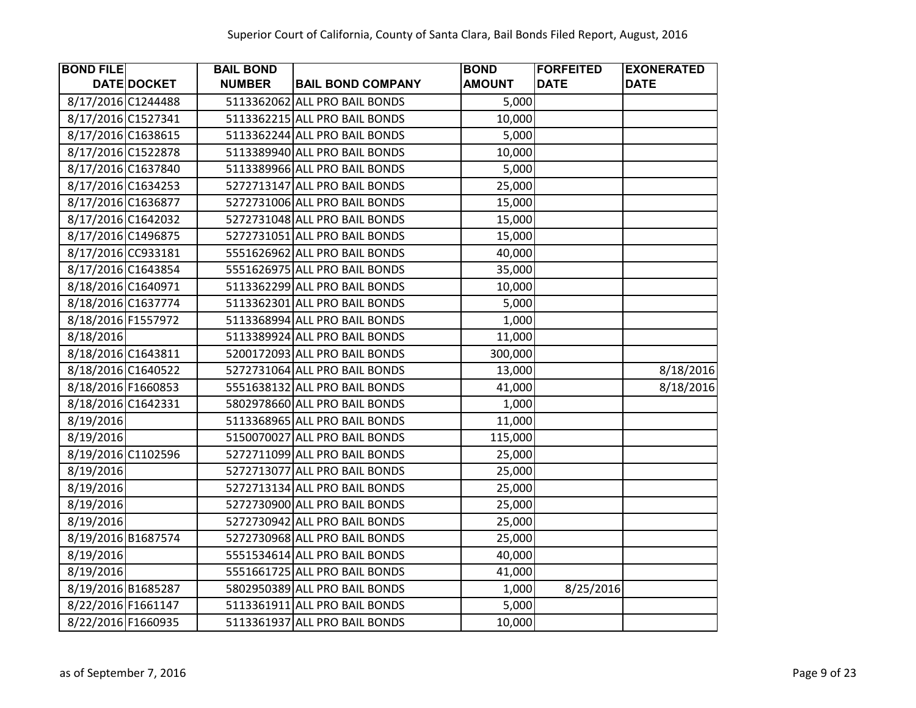| <b>BOND FILE</b>   | <b>BAIL BOND</b> |                               | <b>BOND</b>   | <b>FORFEITED</b> | <b>EXONERATED</b> |
|--------------------|------------------|-------------------------------|---------------|------------------|-------------------|
| DATE DOCKET        | <b>NUMBER</b>    | <b>BAIL BOND COMPANY</b>      | <b>AMOUNT</b> | <b>DATE</b>      | <b>DATE</b>       |
| 8/17/2016 C1244488 |                  | 5113362062 ALL PRO BAIL BONDS | 5,000         |                  |                   |
| 8/17/2016 C1527341 |                  | 5113362215 ALL PRO BAIL BONDS | 10,000        |                  |                   |
| 8/17/2016 C1638615 |                  | 5113362244 ALL PRO BAIL BONDS | 5,000         |                  |                   |
| 8/17/2016 C1522878 |                  | 5113389940 ALL PRO BAIL BONDS | 10,000        |                  |                   |
| 8/17/2016 C1637840 |                  | 5113389966 ALL PRO BAIL BONDS | 5,000         |                  |                   |
| 8/17/2016 C1634253 |                  | 5272713147 ALL PRO BAIL BONDS | 25,000        |                  |                   |
| 8/17/2016 C1636877 |                  | 5272731006 ALL PRO BAIL BONDS | 15,000        |                  |                   |
| 8/17/2016 C1642032 |                  | 5272731048 ALL PRO BAIL BONDS | 15,000        |                  |                   |
| 8/17/2016 C1496875 |                  | 5272731051 ALL PRO BAIL BONDS | 15,000        |                  |                   |
| 8/17/2016 CC933181 |                  | 5551626962 ALL PRO BAIL BONDS | 40,000        |                  |                   |
| 8/17/2016 C1643854 |                  | 5551626975 ALL PRO BAIL BONDS | 35,000        |                  |                   |
| 8/18/2016 C1640971 |                  | 5113362299 ALL PRO BAIL BONDS | 10,000        |                  |                   |
| 8/18/2016 C1637774 |                  | 5113362301 ALL PRO BAIL BONDS | 5,000         |                  |                   |
| 8/18/2016 F1557972 |                  | 5113368994 ALL PRO BAIL BONDS | 1,000         |                  |                   |
| 8/18/2016          |                  | 5113389924 ALL PRO BAIL BONDS | 11,000        |                  |                   |
| 8/18/2016 C1643811 |                  | 5200172093 ALL PRO BAIL BONDS | 300,000       |                  |                   |
| 8/18/2016 C1640522 |                  | 5272731064 ALL PRO BAIL BONDS | 13,000        |                  | 8/18/2016         |
| 8/18/2016 F1660853 |                  | 5551638132 ALL PRO BAIL BONDS | 41,000        |                  | 8/18/2016         |
| 8/18/2016 C1642331 |                  | 5802978660 ALL PRO BAIL BONDS | 1,000         |                  |                   |
| 8/19/2016          |                  | 5113368965 ALL PRO BAIL BONDS | 11,000        |                  |                   |
| 8/19/2016          |                  | 5150070027 ALL PRO BAIL BONDS | 115,000       |                  |                   |
| 8/19/2016 C1102596 |                  | 5272711099 ALL PRO BAIL BONDS | 25,000        |                  |                   |
| 8/19/2016          |                  | 5272713077 ALL PRO BAIL BONDS | 25,000        |                  |                   |
| 8/19/2016          |                  | 5272713134 ALL PRO BAIL BONDS | 25,000        |                  |                   |
| 8/19/2016          |                  | 5272730900 ALL PRO BAIL BONDS | 25,000        |                  |                   |
| 8/19/2016          |                  | 5272730942 ALL PRO BAIL BONDS | 25,000        |                  |                   |
| 8/19/2016 B1687574 |                  | 5272730968 ALL PRO BAIL BONDS | 25,000        |                  |                   |
| 8/19/2016          |                  | 5551534614 ALL PRO BAIL BONDS | 40,000        |                  |                   |
| 8/19/2016          |                  | 5551661725 ALL PRO BAIL BONDS | 41,000        |                  |                   |
| 8/19/2016 B1685287 |                  | 5802950389 ALL PRO BAIL BONDS | 1,000         | 8/25/2016        |                   |
| 8/22/2016 F1661147 |                  | 5113361911 ALL PRO BAIL BONDS | 5,000         |                  |                   |
| 8/22/2016 F1660935 |                  | 5113361937 ALL PRO BAIL BONDS | 10,000        |                  |                   |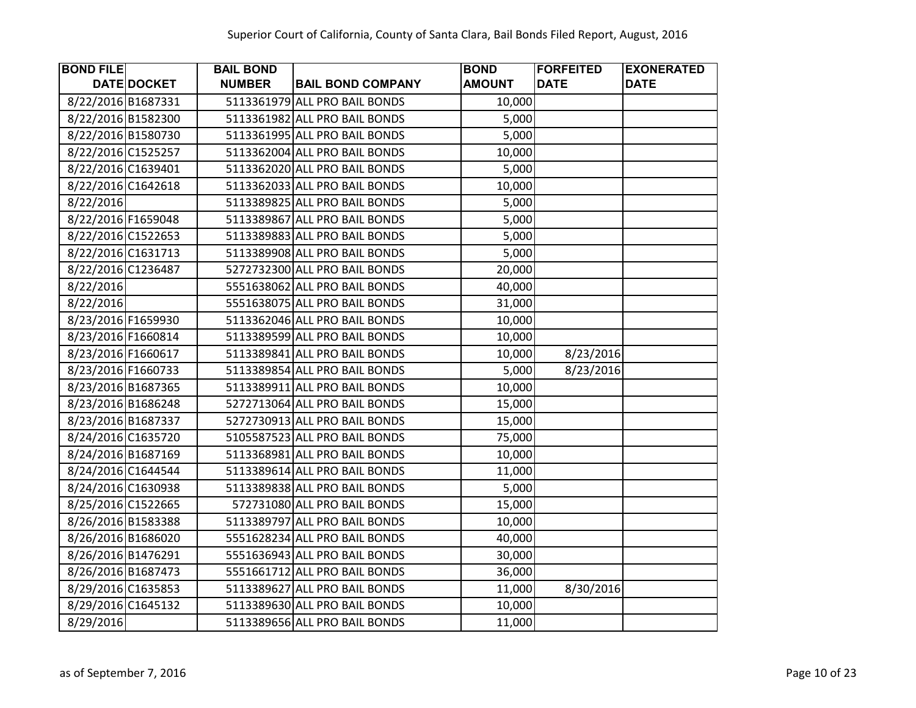| <b>BOND FILE</b>   |             | <b>BAIL BOND</b> |                               | <b>BOND</b>   | <b>FORFEITED</b> | <b>EXONERATED</b> |
|--------------------|-------------|------------------|-------------------------------|---------------|------------------|-------------------|
|                    | DATE DOCKET | <b>NUMBER</b>    | <b>BAIL BOND COMPANY</b>      | <b>AMOUNT</b> | <b>DATE</b>      | <b>DATE</b>       |
| 8/22/2016 B1687331 |             |                  | 5113361979 ALL PRO BAIL BONDS | 10,000        |                  |                   |
| 8/22/2016 B1582300 |             |                  | 5113361982 ALL PRO BAIL BONDS | 5,000         |                  |                   |
| 8/22/2016 B1580730 |             |                  | 5113361995 ALL PRO BAIL BONDS | 5,000         |                  |                   |
| 8/22/2016 C1525257 |             |                  | 5113362004 ALL PRO BAIL BONDS | 10,000        |                  |                   |
| 8/22/2016 C1639401 |             |                  | 5113362020 ALL PRO BAIL BONDS | 5,000         |                  |                   |
| 8/22/2016 C1642618 |             |                  | 5113362033 ALL PRO BAIL BONDS | 10,000        |                  |                   |
| 8/22/2016          |             |                  | 5113389825 ALL PRO BAIL BONDS | 5,000         |                  |                   |
| 8/22/2016 F1659048 |             |                  | 5113389867 ALL PRO BAIL BONDS | 5,000         |                  |                   |
| 8/22/2016 C1522653 |             |                  | 5113389883 ALL PRO BAIL BONDS | 5,000         |                  |                   |
| 8/22/2016 C1631713 |             |                  | 5113389908 ALL PRO BAIL BONDS | 5,000         |                  |                   |
| 8/22/2016 C1236487 |             |                  | 5272732300 ALL PRO BAIL BONDS | 20,000        |                  |                   |
| 8/22/2016          |             |                  | 5551638062 ALL PRO BAIL BONDS | 40,000        |                  |                   |
| 8/22/2016          |             |                  | 5551638075 ALL PRO BAIL BONDS | 31,000        |                  |                   |
| 8/23/2016 F1659930 |             |                  | 5113362046 ALL PRO BAIL BONDS | 10,000        |                  |                   |
| 8/23/2016 F1660814 |             |                  | 5113389599 ALL PRO BAIL BONDS | 10,000        |                  |                   |
| 8/23/2016 F1660617 |             |                  | 5113389841 ALL PRO BAIL BONDS | 10,000        | 8/23/2016        |                   |
| 8/23/2016 F1660733 |             |                  | 5113389854 ALL PRO BAIL BONDS | 5,000         | 8/23/2016        |                   |
| 8/23/2016 B1687365 |             |                  | 5113389911 ALL PRO BAIL BONDS | 10,000        |                  |                   |
| 8/23/2016 B1686248 |             |                  | 5272713064 ALL PRO BAIL BONDS | 15,000        |                  |                   |
| 8/23/2016 B1687337 |             |                  | 5272730913 ALL PRO BAIL BONDS | 15,000        |                  |                   |
| 8/24/2016 C1635720 |             |                  | 5105587523 ALL PRO BAIL BONDS | 75,000        |                  |                   |
| 8/24/2016 B1687169 |             |                  | 5113368981 ALL PRO BAIL BONDS | 10,000        |                  |                   |
| 8/24/2016 C1644544 |             |                  | 5113389614 ALL PRO BAIL BONDS | 11,000        |                  |                   |
| 8/24/2016 C1630938 |             |                  | 5113389838 ALL PRO BAIL BONDS | 5,000         |                  |                   |
| 8/25/2016 C1522665 |             |                  | 572731080 ALL PRO BAIL BONDS  | 15,000        |                  |                   |
| 8/26/2016 B1583388 |             |                  | 5113389797 ALL PRO BAIL BONDS | 10,000        |                  |                   |
| 8/26/2016 B1686020 |             |                  | 5551628234 ALL PRO BAIL BONDS | 40,000        |                  |                   |
| 8/26/2016 B1476291 |             |                  | 5551636943 ALL PRO BAIL BONDS | 30,000        |                  |                   |
| 8/26/2016 B1687473 |             |                  | 5551661712 ALL PRO BAIL BONDS | 36,000        |                  |                   |
| 8/29/2016 C1635853 |             |                  | 5113389627 ALL PRO BAIL BONDS | 11,000        | 8/30/2016        |                   |
| 8/29/2016 C1645132 |             |                  | 5113389630 ALL PRO BAIL BONDS | 10,000        |                  |                   |
| 8/29/2016          |             |                  | 5113389656 ALL PRO BAIL BONDS | 11,000        |                  |                   |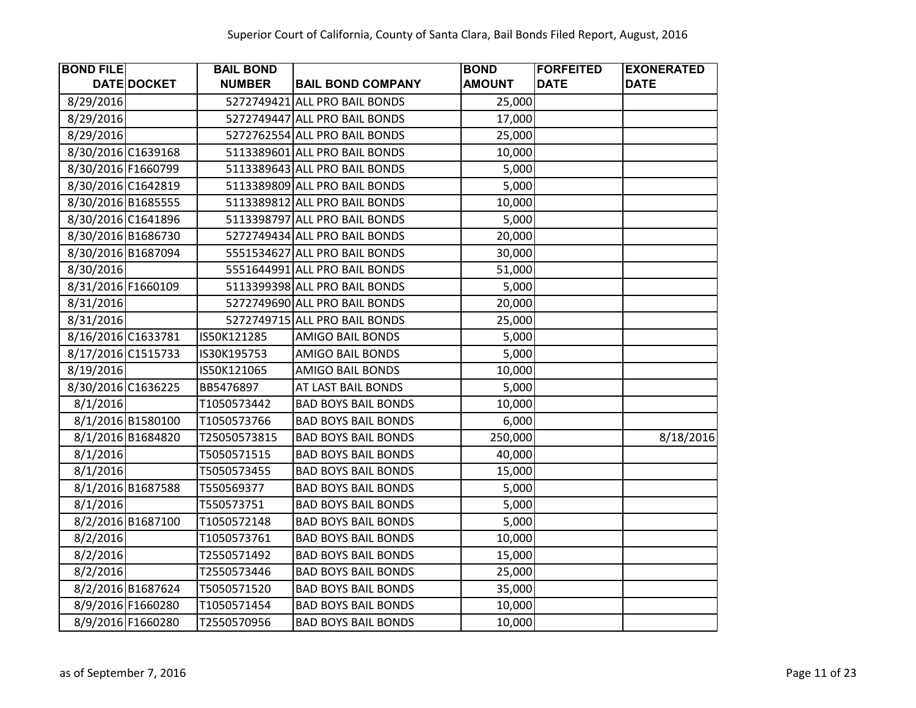| <b>BOND FILE</b>   |                    | <b>BAIL BOND</b> |                               | <b>BOND</b>   | <b>FORFEITED</b> | <b>EXONERATED</b> |
|--------------------|--------------------|------------------|-------------------------------|---------------|------------------|-------------------|
|                    | <b>DATE DOCKET</b> | <b>NUMBER</b>    | <b>BAIL BOND COMPANY</b>      | <b>AMOUNT</b> | <b>DATE</b>      | <b>DATE</b>       |
| 8/29/2016          |                    |                  | 5272749421 ALL PRO BAIL BONDS | 25,000        |                  |                   |
| 8/29/2016          |                    |                  | 5272749447 ALL PRO BAIL BONDS | 17,000        |                  |                   |
| 8/29/2016          |                    |                  | 5272762554 ALL PRO BAIL BONDS | 25,000        |                  |                   |
| 8/30/2016 C1639168 |                    |                  | 5113389601 ALL PRO BAIL BONDS | 10,000        |                  |                   |
| 8/30/2016 F1660799 |                    |                  | 5113389643 ALL PRO BAIL BONDS | 5,000         |                  |                   |
| 8/30/2016 C1642819 |                    |                  | 5113389809 ALL PRO BAIL BONDS | 5,000         |                  |                   |
| 8/30/2016 B1685555 |                    |                  | 5113389812 ALL PRO BAIL BONDS | 10,000        |                  |                   |
| 8/30/2016 C1641896 |                    |                  | 5113398797 ALL PRO BAIL BONDS | 5,000         |                  |                   |
| 8/30/2016 B1686730 |                    |                  | 5272749434 ALL PRO BAIL BONDS | 20,000        |                  |                   |
| 8/30/2016 B1687094 |                    |                  | 5551534627 ALL PRO BAIL BONDS | 30,000        |                  |                   |
| 8/30/2016          |                    |                  | 5551644991 ALL PRO BAIL BONDS | 51,000        |                  |                   |
| 8/31/2016 F1660109 |                    |                  | 5113399398 ALL PRO BAIL BONDS | 5,000         |                  |                   |
| 8/31/2016          |                    |                  | 5272749690 ALL PRO BAIL BONDS | 20,000        |                  |                   |
| 8/31/2016          |                    |                  | 5272749715 ALL PRO BAIL BONDS | 25,000        |                  |                   |
| 8/16/2016 C1633781 |                    | IS50K121285      | <b>AMIGO BAIL BONDS</b>       | 5,000         |                  |                   |
| 8/17/2016 C1515733 |                    | IS30K195753      | <b>AMIGO BAIL BONDS</b>       | 5,000         |                  |                   |
| 8/19/2016          |                    | IS50K121065      | AMIGO BAIL BONDS              | 10,000        |                  |                   |
| 8/30/2016 C1636225 |                    | BB5476897        | AT LAST BAIL BONDS            | 5,000         |                  |                   |
| 8/1/2016           |                    | T1050573442      | <b>BAD BOYS BAIL BONDS</b>    | 10,000        |                  |                   |
|                    | 8/1/2016 B1580100  | T1050573766      | <b>BAD BOYS BAIL BONDS</b>    | 6,000         |                  |                   |
|                    | 8/1/2016 B1684820  | T25050573815     | <b>BAD BOYS BAIL BONDS</b>    | 250,000       |                  | 8/18/2016         |
| 8/1/2016           |                    | T5050571515      | <b>BAD BOYS BAIL BONDS</b>    | 40,000        |                  |                   |
| 8/1/2016           |                    | T5050573455      | <b>BAD BOYS BAIL BONDS</b>    | 15,000        |                  |                   |
|                    | 8/1/2016 B1687588  | T550569377       | <b>BAD BOYS BAIL BONDS</b>    | 5,000         |                  |                   |
| 8/1/2016           |                    | T550573751       | <b>BAD BOYS BAIL BONDS</b>    | 5,000         |                  |                   |
|                    | 8/2/2016 B1687100  | T1050572148      | <b>BAD BOYS BAIL BONDS</b>    | 5,000         |                  |                   |
| 8/2/2016           |                    | T1050573761      | <b>BAD BOYS BAIL BONDS</b>    | 10,000        |                  |                   |
| 8/2/2016           |                    | T2550571492      | <b>BAD BOYS BAIL BONDS</b>    | 15,000        |                  |                   |
| 8/2/2016           |                    | T2550573446      | <b>BAD BOYS BAIL BONDS</b>    | 25,000        |                  |                   |
|                    | 8/2/2016 B1687624  | T5050571520      | <b>BAD BOYS BAIL BONDS</b>    | 35,000        |                  |                   |
|                    | 8/9/2016 F1660280  | T1050571454      | <b>BAD BOYS BAIL BONDS</b>    | 10,000        |                  |                   |
|                    | 8/9/2016 F1660280  | T2550570956      | <b>BAD BOYS BAIL BONDS</b>    | 10,000        |                  |                   |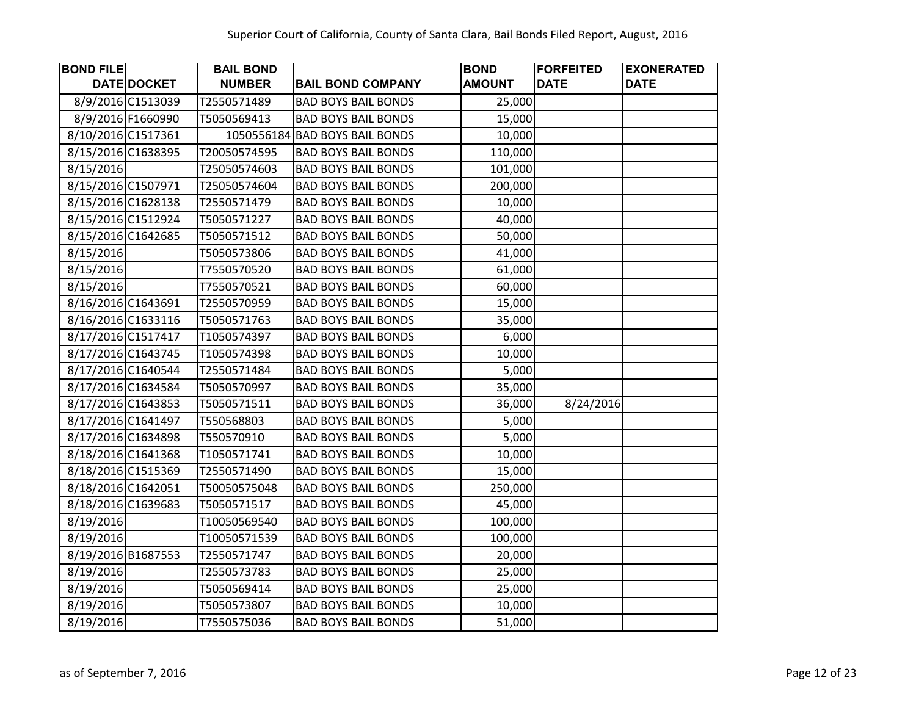| <b>BOND FILE</b>   |                    | <b>BAIL BOND</b> |                                | <b>BOND</b>   | <b>FORFEITED</b> | <b>EXONERATED</b> |
|--------------------|--------------------|------------------|--------------------------------|---------------|------------------|-------------------|
|                    | <b>DATE DOCKET</b> | <b>NUMBER</b>    | <b>BAIL BOND COMPANY</b>       | <b>AMOUNT</b> | <b>DATE</b>      | <b>DATE</b>       |
|                    | 8/9/2016 C1513039  | T2550571489      | <b>BAD BOYS BAIL BONDS</b>     | 25,000        |                  |                   |
|                    | 8/9/2016 F1660990  | T5050569413      | <b>BAD BOYS BAIL BONDS</b>     | 15,000        |                  |                   |
| 8/10/2016 C1517361 |                    |                  | 1050556184 BAD BOYS BAIL BONDS | 10,000        |                  |                   |
| 8/15/2016 C1638395 |                    | T20050574595     | <b>BAD BOYS BAIL BONDS</b>     | 110,000       |                  |                   |
| 8/15/2016          |                    | T25050574603     | <b>BAD BOYS BAIL BONDS</b>     | 101,000       |                  |                   |
| 8/15/2016 C1507971 |                    | T25050574604     | <b>BAD BOYS BAIL BONDS</b>     | 200,000       |                  |                   |
| 8/15/2016 C1628138 |                    | T2550571479      | <b>BAD BOYS BAIL BONDS</b>     | 10,000        |                  |                   |
| 8/15/2016 C1512924 |                    | T5050571227      | <b>BAD BOYS BAIL BONDS</b>     | 40,000        |                  |                   |
| 8/15/2016 C1642685 |                    | T5050571512      | <b>BAD BOYS BAIL BONDS</b>     | 50,000        |                  |                   |
| 8/15/2016          |                    | T5050573806      | <b>BAD BOYS BAIL BONDS</b>     | 41,000        |                  |                   |
| 8/15/2016          |                    | T7550570520      | <b>BAD BOYS BAIL BONDS</b>     | 61,000        |                  |                   |
| 8/15/2016          |                    | T7550570521      | <b>BAD BOYS BAIL BONDS</b>     | 60,000        |                  |                   |
| 8/16/2016 C1643691 |                    | T2550570959      | <b>BAD BOYS BAIL BONDS</b>     | 15,000        |                  |                   |
| 8/16/2016 C1633116 |                    | T5050571763      | <b>BAD BOYS BAIL BONDS</b>     | 35,000        |                  |                   |
| 8/17/2016 C1517417 |                    | T1050574397      | <b>BAD BOYS BAIL BONDS</b>     | 6,000         |                  |                   |
| 8/17/2016 C1643745 |                    | T1050574398      | <b>BAD BOYS BAIL BONDS</b>     | 10,000        |                  |                   |
| 8/17/2016 C1640544 |                    | T2550571484      | <b>BAD BOYS BAIL BONDS</b>     | 5,000         |                  |                   |
| 8/17/2016 C1634584 |                    | T5050570997      | <b>BAD BOYS BAIL BONDS</b>     | 35,000        |                  |                   |
| 8/17/2016 C1643853 |                    | T5050571511      | <b>BAD BOYS BAIL BONDS</b>     | 36,000        | 8/24/2016        |                   |
| 8/17/2016 C1641497 |                    | T550568803       | <b>BAD BOYS BAIL BONDS</b>     | 5,000         |                  |                   |
| 8/17/2016 C1634898 |                    | T550570910       | <b>BAD BOYS BAIL BONDS</b>     | 5,000         |                  |                   |
| 8/18/2016 C1641368 |                    | T1050571741      | <b>BAD BOYS BAIL BONDS</b>     | 10,000        |                  |                   |
| 8/18/2016 C1515369 |                    | T2550571490      | <b>BAD BOYS BAIL BONDS</b>     | 15,000        |                  |                   |
| 8/18/2016 C1642051 |                    | T50050575048     | <b>BAD BOYS BAIL BONDS</b>     | 250,000       |                  |                   |
| 8/18/2016 C1639683 |                    | T5050571517      | <b>BAD BOYS BAIL BONDS</b>     | 45,000        |                  |                   |
| 8/19/2016          |                    | T10050569540     | <b>BAD BOYS BAIL BONDS</b>     | 100,000       |                  |                   |
| 8/19/2016          |                    | T10050571539     | <b>BAD BOYS BAIL BONDS</b>     | 100,000       |                  |                   |
| 8/19/2016 B1687553 |                    | T2550571747      | <b>BAD BOYS BAIL BONDS</b>     | 20,000        |                  |                   |
| 8/19/2016          |                    | T2550573783      | <b>BAD BOYS BAIL BONDS</b>     | 25,000        |                  |                   |
| 8/19/2016          |                    | T5050569414      | <b>BAD BOYS BAIL BONDS</b>     | 25,000        |                  |                   |
| 8/19/2016          |                    | T5050573807      | <b>BAD BOYS BAIL BONDS</b>     | 10,000        |                  |                   |
| 8/19/2016          |                    | T7550575036      | <b>BAD BOYS BAIL BONDS</b>     | 51,000        |                  |                   |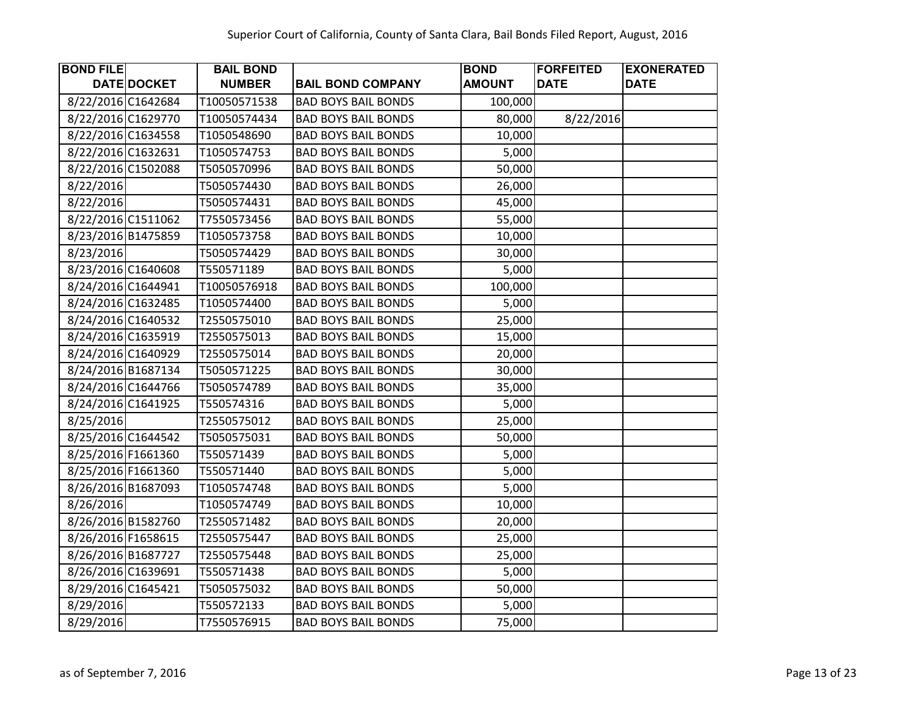| <b>BOND FILE</b>   |                    | <b>BAIL BOND</b> |                            | <b>BOND</b>   | <b>FORFEITED</b> | <b>EXONERATED</b> |
|--------------------|--------------------|------------------|----------------------------|---------------|------------------|-------------------|
|                    | <b>DATE DOCKET</b> | <b>NUMBER</b>    | <b>BAIL BOND COMPANY</b>   | <b>AMOUNT</b> | <b>DATE</b>      | <b>DATE</b>       |
| 8/22/2016 C1642684 |                    | T10050571538     | <b>BAD BOYS BAIL BONDS</b> | 100,000       |                  |                   |
| 8/22/2016 C1629770 |                    | T10050574434     | <b>BAD BOYS BAIL BONDS</b> | 80,000        | 8/22/2016        |                   |
| 8/22/2016 C1634558 |                    | T1050548690      | <b>BAD BOYS BAIL BONDS</b> | 10,000        |                  |                   |
| 8/22/2016 C1632631 |                    | T1050574753      | <b>BAD BOYS BAIL BONDS</b> | 5,000         |                  |                   |
| 8/22/2016 C1502088 |                    | T5050570996      | <b>BAD BOYS BAIL BONDS</b> | 50,000        |                  |                   |
| 8/22/2016          |                    | T5050574430      | <b>BAD BOYS BAIL BONDS</b> | 26,000        |                  |                   |
| 8/22/2016          |                    | T5050574431      | <b>BAD BOYS BAIL BONDS</b> | 45,000        |                  |                   |
| 8/22/2016 C1511062 |                    | T7550573456      | <b>BAD BOYS BAIL BONDS</b> | 55,000        |                  |                   |
| 8/23/2016 B1475859 |                    | T1050573758      | <b>BAD BOYS BAIL BONDS</b> | 10,000        |                  |                   |
| 8/23/2016          |                    | T5050574429      | <b>BAD BOYS BAIL BONDS</b> | 30,000        |                  |                   |
| 8/23/2016 C1640608 |                    | T550571189       | <b>BAD BOYS BAIL BONDS</b> | 5,000         |                  |                   |
| 8/24/2016 C1644941 |                    | T10050576918     | <b>BAD BOYS BAIL BONDS</b> | 100,000       |                  |                   |
| 8/24/2016 C1632485 |                    | T1050574400      | <b>BAD BOYS BAIL BONDS</b> | 5,000         |                  |                   |
| 8/24/2016 C1640532 |                    | T2550575010      | <b>BAD BOYS BAIL BONDS</b> | 25,000        |                  |                   |
| 8/24/2016 C1635919 |                    | T2550575013      | <b>BAD BOYS BAIL BONDS</b> | 15,000        |                  |                   |
| 8/24/2016 C1640929 |                    | T2550575014      | <b>BAD BOYS BAIL BONDS</b> | 20,000        |                  |                   |
| 8/24/2016 B1687134 |                    | T5050571225      | <b>BAD BOYS BAIL BONDS</b> | 30,000        |                  |                   |
| 8/24/2016 C1644766 |                    | T5050574789      | <b>BAD BOYS BAIL BONDS</b> | 35,000        |                  |                   |
| 8/24/2016 C1641925 |                    | T550574316       | <b>BAD BOYS BAIL BONDS</b> | 5,000         |                  |                   |
| 8/25/2016          |                    | T2550575012      | <b>BAD BOYS BAIL BONDS</b> | 25,000        |                  |                   |
| 8/25/2016 C1644542 |                    | T5050575031      | <b>BAD BOYS BAIL BONDS</b> | 50,000        |                  |                   |
| 8/25/2016 F1661360 |                    | T550571439       | <b>BAD BOYS BAIL BONDS</b> | 5,000         |                  |                   |
| 8/25/2016 F1661360 |                    | T550571440       | <b>BAD BOYS BAIL BONDS</b> | 5,000         |                  |                   |
| 8/26/2016 B1687093 |                    | T1050574748      | <b>BAD BOYS BAIL BONDS</b> | 5,000         |                  |                   |
| 8/26/2016          |                    | T1050574749      | <b>BAD BOYS BAIL BONDS</b> | 10,000        |                  |                   |
| 8/26/2016 B1582760 |                    | T2550571482      | <b>BAD BOYS BAIL BONDS</b> | 20,000        |                  |                   |
| 8/26/2016 F1658615 |                    | T2550575447      | <b>BAD BOYS BAIL BONDS</b> | 25,000        |                  |                   |
| 8/26/2016 B1687727 |                    | T2550575448      | <b>BAD BOYS BAIL BONDS</b> | 25,000        |                  |                   |
| 8/26/2016 C1639691 |                    | T550571438       | <b>BAD BOYS BAIL BONDS</b> | 5,000         |                  |                   |
| 8/29/2016 C1645421 |                    | T5050575032      | <b>BAD BOYS BAIL BONDS</b> | 50,000        |                  |                   |
| 8/29/2016          |                    | T550572133       | <b>BAD BOYS BAIL BONDS</b> | 5,000         |                  |                   |
| 8/29/2016          |                    | T7550576915      | <b>BAD BOYS BAIL BONDS</b> | 75,000        |                  |                   |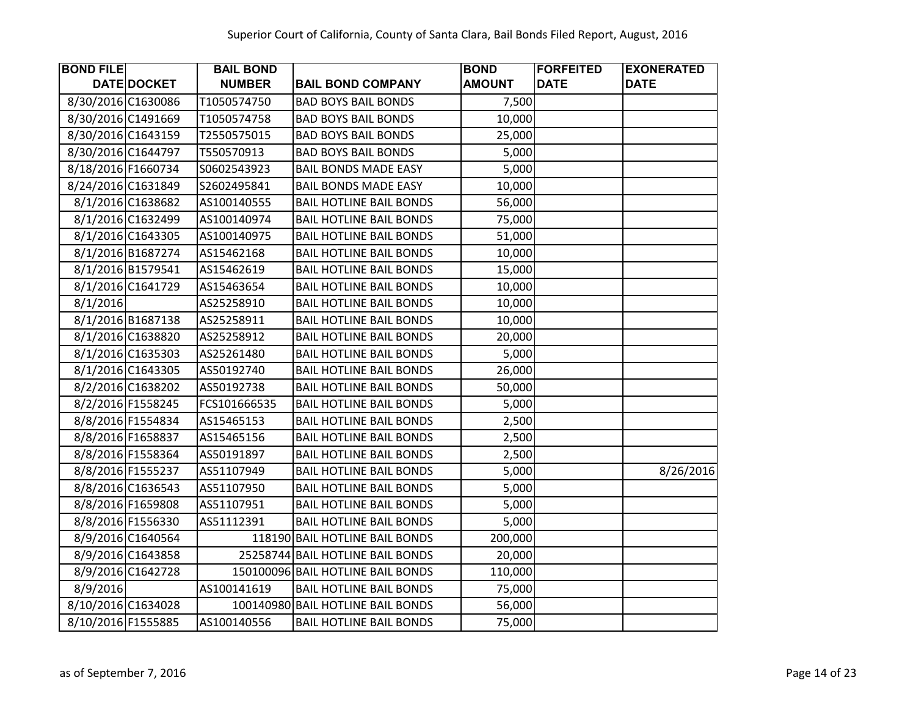| <b>BOND FILE</b>   |                    | <b>BAIL BOND</b> |                                   | <b>BOND</b>   | <b>FORFEITED</b> | <b>EXONERATED</b> |
|--------------------|--------------------|------------------|-----------------------------------|---------------|------------------|-------------------|
|                    | <b>DATE DOCKET</b> | <b>NUMBER</b>    | <b>BAIL BOND COMPANY</b>          | <b>AMOUNT</b> | <b>DATE</b>      | <b>DATE</b>       |
| 8/30/2016 C1630086 |                    | T1050574750      | <b>BAD BOYS BAIL BONDS</b>        | 7,500         |                  |                   |
| 8/30/2016 C1491669 |                    | T1050574758      | <b>BAD BOYS BAIL BONDS</b>        | 10,000        |                  |                   |
| 8/30/2016 C1643159 |                    | T2550575015      | <b>BAD BOYS BAIL BONDS</b>        | 25,000        |                  |                   |
| 8/30/2016 C1644797 |                    | T550570913       | <b>BAD BOYS BAIL BONDS</b>        | 5,000         |                  |                   |
| 8/18/2016 F1660734 |                    | S0602543923      | <b>BAIL BONDS MADE EASY</b>       | 5,000         |                  |                   |
| 8/24/2016 C1631849 |                    | S2602495841      | <b>BAIL BONDS MADE EASY</b>       | 10,000        |                  |                   |
|                    | 8/1/2016 C1638682  | AS100140555      | <b>BAIL HOTLINE BAIL BONDS</b>    | 56,000        |                  |                   |
|                    | 8/1/2016 C1632499  | AS100140974      | <b>BAIL HOTLINE BAIL BONDS</b>    | 75,000        |                  |                   |
|                    | 8/1/2016 C1643305  | AS100140975      | <b>BAIL HOTLINE BAIL BONDS</b>    | 51,000        |                  |                   |
|                    | 8/1/2016 B1687274  | AS15462168       | <b>BAIL HOTLINE BAIL BONDS</b>    | 10,000        |                  |                   |
|                    | 8/1/2016 B1579541  | AS15462619       | <b>BAIL HOTLINE BAIL BONDS</b>    | 15,000        |                  |                   |
|                    | 8/1/2016 C1641729  | AS15463654       | <b>BAIL HOTLINE BAIL BONDS</b>    | 10,000        |                  |                   |
| 8/1/2016           |                    | AS25258910       | <b>BAIL HOTLINE BAIL BONDS</b>    | 10,000        |                  |                   |
|                    | 8/1/2016 B1687138  | AS25258911       | <b>BAIL HOTLINE BAIL BONDS</b>    | 10,000        |                  |                   |
|                    | 8/1/2016 C1638820  | AS25258912       | <b>BAIL HOTLINE BAIL BONDS</b>    | 20,000        |                  |                   |
|                    | 8/1/2016 C1635303  | AS25261480       | <b>BAIL HOTLINE BAIL BONDS</b>    | 5,000         |                  |                   |
|                    | 8/1/2016 C1643305  | AS50192740       | <b>BAIL HOTLINE BAIL BONDS</b>    | 26,000        |                  |                   |
|                    | 8/2/2016 C1638202  | AS50192738       | <b>BAIL HOTLINE BAIL BONDS</b>    | 50,000        |                  |                   |
|                    | 8/2/2016 F1558245  | FCS101666535     | <b>BAIL HOTLINE BAIL BONDS</b>    | 5,000         |                  |                   |
|                    | 8/8/2016 F1554834  | AS15465153       | <b>BAIL HOTLINE BAIL BONDS</b>    | 2,500         |                  |                   |
|                    | 8/8/2016 F1658837  | AS15465156       | <b>BAIL HOTLINE BAIL BONDS</b>    | 2,500         |                  |                   |
|                    | 8/8/2016 F1558364  | AS50191897       | <b>BAIL HOTLINE BAIL BONDS</b>    | 2,500         |                  |                   |
|                    | 8/8/2016 F1555237  | AS51107949       | <b>BAIL HOTLINE BAIL BONDS</b>    | 5,000         |                  | 8/26/2016         |
|                    | 8/8/2016 C1636543  | AS51107950       | <b>BAIL HOTLINE BAIL BONDS</b>    | 5,000         |                  |                   |
|                    | 8/8/2016 F1659808  | AS51107951       | <b>BAIL HOTLINE BAIL BONDS</b>    | 5,000         |                  |                   |
|                    | 8/8/2016 F1556330  | AS51112391       | <b>BAIL HOTLINE BAIL BONDS</b>    | 5,000         |                  |                   |
|                    | 8/9/2016 C1640564  |                  | 118190 BAIL HOTLINE BAIL BONDS    | 200,000       |                  |                   |
|                    | 8/9/2016 C1643858  |                  | 25258744 BAIL HOTLINE BAIL BONDS  | 20,000        |                  |                   |
|                    | 8/9/2016 C1642728  |                  | 150100096 BAIL HOTLINE BAIL BONDS | 110,000       |                  |                   |
| 8/9/2016           |                    | AS100141619      | <b>BAIL HOTLINE BAIL BONDS</b>    | 75,000        |                  |                   |
| 8/10/2016 C1634028 |                    |                  | 100140980 BAIL HOTLINE BAIL BONDS | 56,000        |                  |                   |
| 8/10/2016 F1555885 |                    | AS100140556      | <b>BAIL HOTLINE BAIL BONDS</b>    | 75,000        |                  |                   |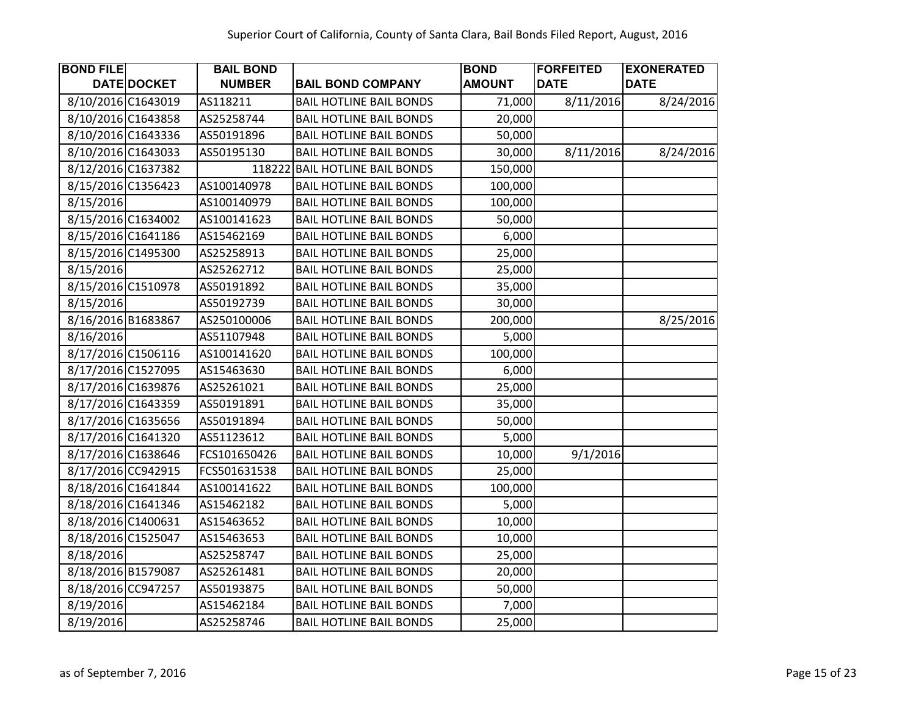| <b>BOND FILE</b>   |                    | <b>BAIL BOND</b> |                                | <b>BOND</b>   | <b>FORFEITED</b> | <b>EXONERATED</b> |
|--------------------|--------------------|------------------|--------------------------------|---------------|------------------|-------------------|
|                    | <b>DATE DOCKET</b> | <b>NUMBER</b>    | <b>BAIL BOND COMPANY</b>       | <b>AMOUNT</b> | <b>DATE</b>      | <b>DATE</b>       |
| 8/10/2016 C1643019 |                    | AS118211         | <b>BAIL HOTLINE BAIL BONDS</b> | 71,000        | 8/11/2016        | 8/24/2016         |
| 8/10/2016 C1643858 |                    | AS25258744       | <b>BAIL HOTLINE BAIL BONDS</b> | 20,000        |                  |                   |
| 8/10/2016 C1643336 |                    | AS50191896       | <b>BAIL HOTLINE BAIL BONDS</b> | 50,000        |                  |                   |
| 8/10/2016 C1643033 |                    | AS50195130       | <b>BAIL HOTLINE BAIL BONDS</b> | 30,000        | 8/11/2016        | 8/24/2016         |
| 8/12/2016 C1637382 |                    | 118222           | <b>BAIL HOTLINE BAIL BONDS</b> | 150,000       |                  |                   |
| 8/15/2016 C1356423 |                    | AS100140978      | <b>BAIL HOTLINE BAIL BONDS</b> | 100,000       |                  |                   |
| 8/15/2016          |                    | AS100140979      | <b>BAIL HOTLINE BAIL BONDS</b> | 100,000       |                  |                   |
| 8/15/2016 C1634002 |                    | AS100141623      | <b>BAIL HOTLINE BAIL BONDS</b> | 50,000        |                  |                   |
| 8/15/2016 C1641186 |                    | AS15462169       | <b>BAIL HOTLINE BAIL BONDS</b> | 6,000         |                  |                   |
| 8/15/2016 C1495300 |                    | AS25258913       | <b>BAIL HOTLINE BAIL BONDS</b> | 25,000        |                  |                   |
| 8/15/2016          |                    | AS25262712       | <b>BAIL HOTLINE BAIL BONDS</b> | 25,000        |                  |                   |
| 8/15/2016 C1510978 |                    | AS50191892       | <b>BAIL HOTLINE BAIL BONDS</b> | 35,000        |                  |                   |
| 8/15/2016          |                    | AS50192739       | <b>BAIL HOTLINE BAIL BONDS</b> | 30,000        |                  |                   |
| 8/16/2016 B1683867 |                    | AS250100006      | <b>BAIL HOTLINE BAIL BONDS</b> | 200,000       |                  | 8/25/2016         |
| 8/16/2016          |                    | AS51107948       | <b>BAIL HOTLINE BAIL BONDS</b> | 5,000         |                  |                   |
| 8/17/2016 C1506116 |                    | AS100141620      | <b>BAIL HOTLINE BAIL BONDS</b> | 100,000       |                  |                   |
| 8/17/2016 C1527095 |                    | AS15463630       | <b>BAIL HOTLINE BAIL BONDS</b> | 6,000         |                  |                   |
| 8/17/2016 C1639876 |                    | AS25261021       | <b>BAIL HOTLINE BAIL BONDS</b> | 25,000        |                  |                   |
| 8/17/2016 C1643359 |                    | AS50191891       | <b>BAIL HOTLINE BAIL BONDS</b> | 35,000        |                  |                   |
| 8/17/2016 C1635656 |                    | AS50191894       | <b>BAIL HOTLINE BAIL BONDS</b> | 50,000        |                  |                   |
| 8/17/2016 C1641320 |                    | AS51123612       | <b>BAIL HOTLINE BAIL BONDS</b> | 5,000         |                  |                   |
| 8/17/2016 C1638646 |                    | FCS101650426     | <b>BAIL HOTLINE BAIL BONDS</b> | 10,000        | 9/1/2016         |                   |
| 8/17/2016 CC942915 |                    | FCS501631538     | <b>BAIL HOTLINE BAIL BONDS</b> | 25,000        |                  |                   |
| 8/18/2016 C1641844 |                    | AS100141622      | <b>BAIL HOTLINE BAIL BONDS</b> | 100,000       |                  |                   |
| 8/18/2016 C1641346 |                    | AS15462182       | <b>BAIL HOTLINE BAIL BONDS</b> | 5,000         |                  |                   |
| 8/18/2016 C1400631 |                    | AS15463652       | <b>BAIL HOTLINE BAIL BONDS</b> | 10,000        |                  |                   |
| 8/18/2016 C1525047 |                    | AS15463653       | <b>BAIL HOTLINE BAIL BONDS</b> | 10,000        |                  |                   |
| 8/18/2016          |                    | AS25258747       | <b>BAIL HOTLINE BAIL BONDS</b> | 25,000        |                  |                   |
| 8/18/2016 B1579087 |                    | AS25261481       | <b>BAIL HOTLINE BAIL BONDS</b> | 20,000        |                  |                   |
| 8/18/2016 CC947257 |                    | AS50193875       | <b>BAIL HOTLINE BAIL BONDS</b> | 50,000        |                  |                   |
| 8/19/2016          |                    | AS15462184       | <b>BAIL HOTLINE BAIL BONDS</b> | 7,000         |                  |                   |
| 8/19/2016          |                    | AS25258746       | <b>BAIL HOTLINE BAIL BONDS</b> | 25,000        |                  |                   |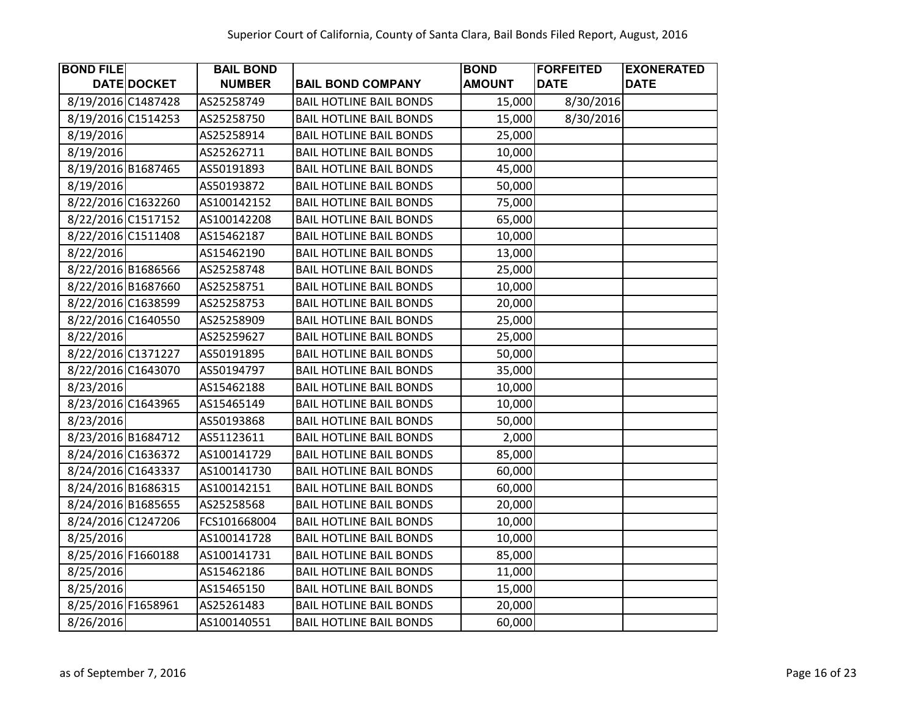| <b>BOND FILE</b>   | <b>BAIL BOND</b> |                                | <b>BOND</b>   | <b>FORFEITED</b> | <b>EXONERATED</b> |
|--------------------|------------------|--------------------------------|---------------|------------------|-------------------|
| DATE DOCKET        | <b>NUMBER</b>    | <b>BAIL BOND COMPANY</b>       | <b>AMOUNT</b> | <b>DATE</b>      | <b>DATE</b>       |
| 8/19/2016 C1487428 | AS25258749       | <b>BAIL HOTLINE BAIL BONDS</b> | 15,000        | 8/30/2016        |                   |
| 8/19/2016 C1514253 | AS25258750       | <b>BAIL HOTLINE BAIL BONDS</b> | 15,000        | 8/30/2016        |                   |
| 8/19/2016          | AS25258914       | <b>BAIL HOTLINE BAIL BONDS</b> | 25,000        |                  |                   |
| 8/19/2016          | AS25262711       | <b>BAIL HOTLINE BAIL BONDS</b> | 10,000        |                  |                   |
| 8/19/2016 B1687465 | AS50191893       | <b>BAIL HOTLINE BAIL BONDS</b> | 45,000        |                  |                   |
| 8/19/2016          | AS50193872       | <b>BAIL HOTLINE BAIL BONDS</b> | 50,000        |                  |                   |
| 8/22/2016 C1632260 | AS100142152      | <b>BAIL HOTLINE BAIL BONDS</b> | 75,000        |                  |                   |
| 8/22/2016 C1517152 | AS100142208      | <b>BAIL HOTLINE BAIL BONDS</b> | 65,000        |                  |                   |
| 8/22/2016 C1511408 | AS15462187       | <b>BAIL HOTLINE BAIL BONDS</b> | 10,000        |                  |                   |
| 8/22/2016          | AS15462190       | <b>BAIL HOTLINE BAIL BONDS</b> | 13,000        |                  |                   |
| 8/22/2016 B1686566 | AS25258748       | <b>BAIL HOTLINE BAIL BONDS</b> | 25,000        |                  |                   |
| 8/22/2016 B1687660 | AS25258751       | <b>BAIL HOTLINE BAIL BONDS</b> | 10,000        |                  |                   |
| 8/22/2016 C1638599 | AS25258753       | <b>BAIL HOTLINE BAIL BONDS</b> | 20,000        |                  |                   |
| 8/22/2016 C1640550 | AS25258909       | <b>BAIL HOTLINE BAIL BONDS</b> | 25,000        |                  |                   |
| 8/22/2016          | AS25259627       | <b>BAIL HOTLINE BAIL BONDS</b> | 25,000        |                  |                   |
| 8/22/2016 C1371227 | AS50191895       | <b>BAIL HOTLINE BAIL BONDS</b> | 50,000        |                  |                   |
| 8/22/2016 C1643070 | AS50194797       | <b>BAIL HOTLINE BAIL BONDS</b> | 35,000        |                  |                   |
| 8/23/2016          | AS15462188       | <b>BAIL HOTLINE BAIL BONDS</b> | 10,000        |                  |                   |
| 8/23/2016 C1643965 | AS15465149       | <b>BAIL HOTLINE BAIL BONDS</b> | 10,000        |                  |                   |
| 8/23/2016          | AS50193868       | <b>BAIL HOTLINE BAIL BONDS</b> | 50,000        |                  |                   |
| 8/23/2016 B1684712 | AS51123611       | <b>BAIL HOTLINE BAIL BONDS</b> | 2,000         |                  |                   |
| 8/24/2016 C1636372 | AS100141729      | <b>BAIL HOTLINE BAIL BONDS</b> | 85,000        |                  |                   |
| 8/24/2016 C1643337 | AS100141730      | <b>BAIL HOTLINE BAIL BONDS</b> | 60,000        |                  |                   |
| 8/24/2016 B1686315 | AS100142151      | <b>BAIL HOTLINE BAIL BONDS</b> | 60,000        |                  |                   |
| 8/24/2016 B1685655 | AS25258568       | <b>BAIL HOTLINE BAIL BONDS</b> | 20,000        |                  |                   |
| 8/24/2016 C1247206 | FCS101668004     | <b>BAIL HOTLINE BAIL BONDS</b> | 10,000        |                  |                   |
| 8/25/2016          | AS100141728      | <b>BAIL HOTLINE BAIL BONDS</b> | 10,000        |                  |                   |
| 8/25/2016 F1660188 | AS100141731      | <b>BAIL HOTLINE BAIL BONDS</b> | 85,000        |                  |                   |
| 8/25/2016          | AS15462186       | <b>BAIL HOTLINE BAIL BONDS</b> | 11,000        |                  |                   |
| 8/25/2016          | AS15465150       | <b>BAIL HOTLINE BAIL BONDS</b> | 15,000        |                  |                   |
| 8/25/2016 F1658961 | AS25261483       | <b>BAIL HOTLINE BAIL BONDS</b> | 20,000        |                  |                   |
| 8/26/2016          | AS100140551      | <b>BAIL HOTLINE BAIL BONDS</b> | 60,000        |                  |                   |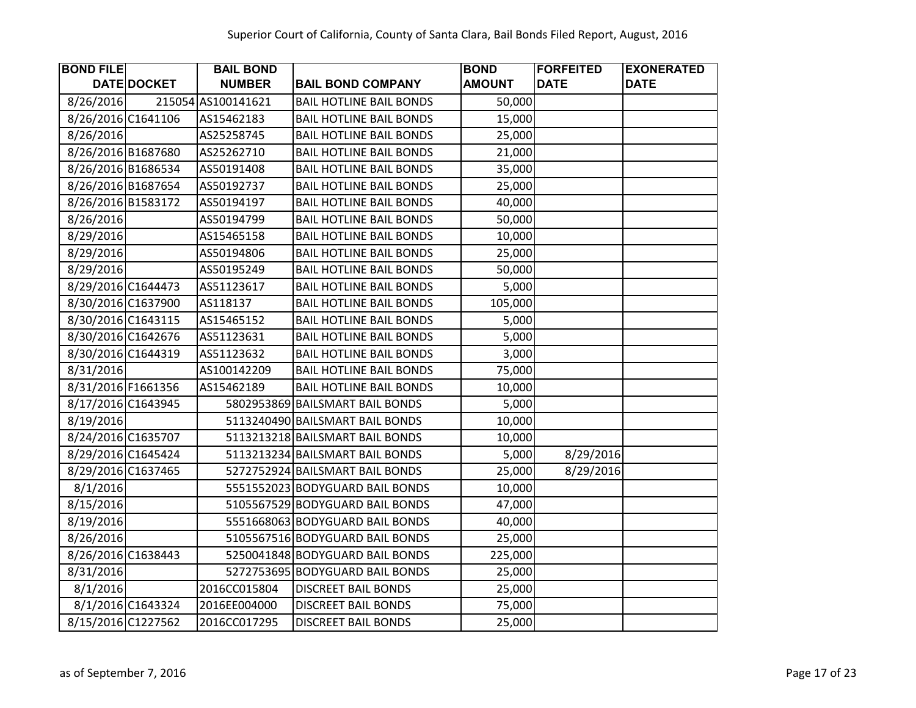| <b>BOND FILE</b>   |                    | <b>BAIL BOND</b>   |                                 | <b>BOND</b>   | <b>FORFEITED</b> | <b>EXONERATED</b> |
|--------------------|--------------------|--------------------|---------------------------------|---------------|------------------|-------------------|
|                    | <b>DATE DOCKET</b> | <b>NUMBER</b>      | <b>BAIL BOND COMPANY</b>        | <b>AMOUNT</b> | <b>DATE</b>      | <b>DATE</b>       |
| 8/26/2016          |                    | 215054 AS100141621 | <b>BAIL HOTLINE BAIL BONDS</b>  | 50,000        |                  |                   |
| 8/26/2016 C1641106 |                    | AS15462183         | <b>BAIL HOTLINE BAIL BONDS</b>  | 15,000        |                  |                   |
| 8/26/2016          |                    | AS25258745         | <b>BAIL HOTLINE BAIL BONDS</b>  | 25,000        |                  |                   |
| 8/26/2016 B1687680 |                    | AS25262710         | <b>BAIL HOTLINE BAIL BONDS</b>  | 21,000        |                  |                   |
| 8/26/2016 B1686534 |                    | AS50191408         | <b>BAIL HOTLINE BAIL BONDS</b>  | 35,000        |                  |                   |
| 8/26/2016 B1687654 |                    | AS50192737         | <b>BAIL HOTLINE BAIL BONDS</b>  | 25,000        |                  |                   |
| 8/26/2016 B1583172 |                    | AS50194197         | <b>BAIL HOTLINE BAIL BONDS</b>  | 40,000        |                  |                   |
| 8/26/2016          |                    | AS50194799         | <b>BAIL HOTLINE BAIL BONDS</b>  | 50,000        |                  |                   |
| 8/29/2016          |                    | AS15465158         | <b>BAIL HOTLINE BAIL BONDS</b>  | 10,000        |                  |                   |
| 8/29/2016          |                    | AS50194806         | <b>BAIL HOTLINE BAIL BONDS</b>  | 25,000        |                  |                   |
| 8/29/2016          |                    | AS50195249         | <b>BAIL HOTLINE BAIL BONDS</b>  | 50,000        |                  |                   |
| 8/29/2016 C1644473 |                    | AS51123617         | <b>BAIL HOTLINE BAIL BONDS</b>  | 5,000         |                  |                   |
| 8/30/2016 C1637900 |                    | AS118137           | <b>BAIL HOTLINE BAIL BONDS</b>  | 105,000       |                  |                   |
| 8/30/2016 C1643115 |                    | AS15465152         | <b>BAIL HOTLINE BAIL BONDS</b>  | 5,000         |                  |                   |
| 8/30/2016 C1642676 |                    | AS51123631         | <b>BAIL HOTLINE BAIL BONDS</b>  | 5,000         |                  |                   |
| 8/30/2016 C1644319 |                    | AS51123632         | <b>BAIL HOTLINE BAIL BONDS</b>  | 3,000         |                  |                   |
| 8/31/2016          |                    | AS100142209        | <b>BAIL HOTLINE BAIL BONDS</b>  | 75,000        |                  |                   |
| 8/31/2016 F1661356 |                    | AS15462189         | <b>BAIL HOTLINE BAIL BONDS</b>  | 10,000        |                  |                   |
| 8/17/2016 C1643945 |                    |                    | 5802953869 BAILSMART BAIL BONDS | 5,000         |                  |                   |
| 8/19/2016          |                    |                    | 5113240490 BAILSMART BAIL BONDS | 10,000        |                  |                   |
| 8/24/2016 C1635707 |                    |                    | 5113213218 BAILSMART BAIL BONDS | 10,000        |                  |                   |
| 8/29/2016 C1645424 |                    |                    | 5113213234 BAILSMART BAIL BONDS | 5,000         | 8/29/2016        |                   |
| 8/29/2016 C1637465 |                    |                    | 5272752924 BAILSMART BAIL BONDS | 25,000        | 8/29/2016        |                   |
| 8/1/2016           |                    |                    | 5551552023 BODYGUARD BAIL BONDS | 10,000        |                  |                   |
| 8/15/2016          |                    |                    | 5105567529 BODYGUARD BAIL BONDS | 47,000        |                  |                   |
| 8/19/2016          |                    |                    | 5551668063 BODYGUARD BAIL BONDS | 40,000        |                  |                   |
| 8/26/2016          |                    |                    | 5105567516 BODYGUARD BAIL BONDS | 25,000        |                  |                   |
| 8/26/2016 C1638443 |                    |                    | 5250041848 BODYGUARD BAIL BONDS | 225,000       |                  |                   |
| 8/31/2016          |                    |                    | 5272753695 BODYGUARD BAIL BONDS | 25,000        |                  |                   |
| 8/1/2016           |                    | 2016CC015804       | <b>DISCREET BAIL BONDS</b>      | 25,000        |                  |                   |
|                    | 8/1/2016 C1643324  | 2016EE004000       | <b>DISCREET BAIL BONDS</b>      | 75,000        |                  |                   |
| 8/15/2016 C1227562 |                    | 2016CC017295       | <b>DISCREET BAIL BONDS</b>      | 25,000        |                  |                   |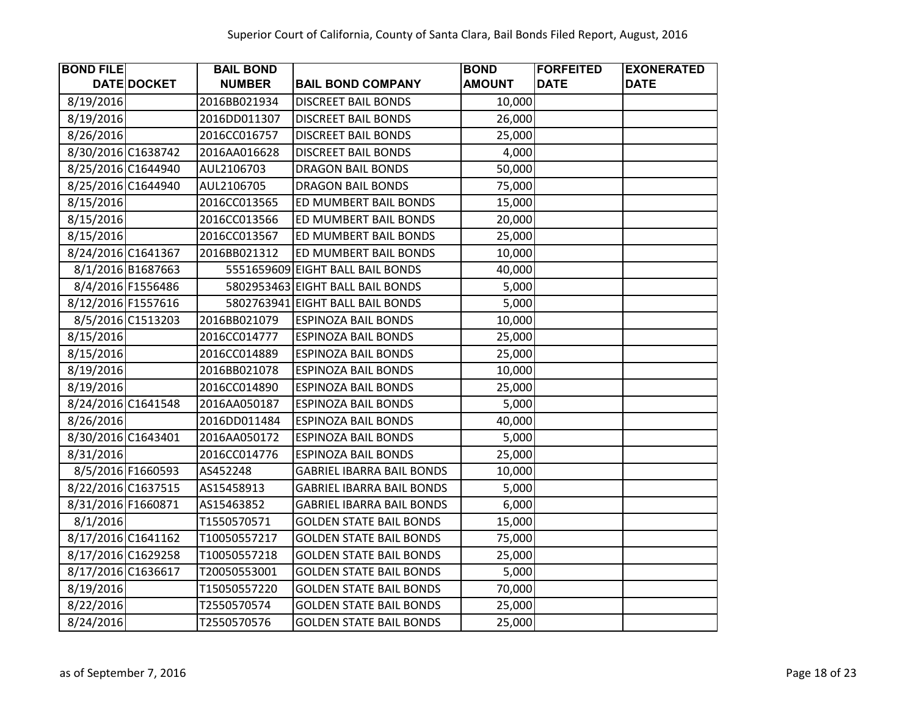| <b>BOND FILE</b>   | <b>BAIL BOND</b> |                                  | <b>BOND</b>   | <b>FORFEITED</b> | <b>EXONERATED</b> |
|--------------------|------------------|----------------------------------|---------------|------------------|-------------------|
| <b>DATE DOCKET</b> | <b>NUMBER</b>    | <b>BAIL BOND COMPANY</b>         | <b>AMOUNT</b> | <b>DATE</b>      | <b>DATE</b>       |
| 8/19/2016          | 2016BB021934     | <b>DISCREET BAIL BONDS</b>       | 10,000        |                  |                   |
| 8/19/2016          | 2016DD011307     | <b>DISCREET BAIL BONDS</b>       | 26,000        |                  |                   |
| 8/26/2016          | 2016CC016757     | <b>DISCREET BAIL BONDS</b>       | 25,000        |                  |                   |
| 8/30/2016 C1638742 | 2016AA016628     | <b>DISCREET BAIL BONDS</b>       | 4,000         |                  |                   |
| 8/25/2016 C1644940 | AUL2106703       | <b>DRAGON BAIL BONDS</b>         | 50,000        |                  |                   |
| 8/25/2016 C1644940 | AUL2106705       | <b>DRAGON BAIL BONDS</b>         | 75,000        |                  |                   |
| 8/15/2016          | 2016CC013565     | ED MUMBERT BAIL BONDS            | 15,000        |                  |                   |
| 8/15/2016          | 2016CC013566     | ED MUMBERT BAIL BONDS            | 20,000        |                  |                   |
| 8/15/2016          | 2016CC013567     | ED MUMBERT BAIL BONDS            | 25,000        |                  |                   |
| 8/24/2016 C1641367 | 2016BB021312     | ED MUMBERT BAIL BONDS            | 10,000        |                  |                   |
| 8/1/2016 B1687663  |                  | 5551659609 EIGHT BALL BAIL BONDS | 40,000        |                  |                   |
| 8/4/2016 F1556486  |                  | 5802953463 EIGHT BALL BAIL BONDS | 5,000         |                  |                   |
| 8/12/2016 F1557616 |                  | 5802763941 EIGHT BALL BAIL BONDS | 5,000         |                  |                   |
| 8/5/2016 C1513203  | 2016BB021079     | <b>ESPINOZA BAIL BONDS</b>       | 10,000        |                  |                   |
| 8/15/2016          | 2016CC014777     | <b>ESPINOZA BAIL BONDS</b>       | 25,000        |                  |                   |
| 8/15/2016          | 2016CC014889     | <b>ESPINOZA BAIL BONDS</b>       | 25,000        |                  |                   |
| 8/19/2016          | 2016BB021078     | <b>ESPINOZA BAIL BONDS</b>       | 10,000        |                  |                   |
| 8/19/2016          | 2016CC014890     | <b>ESPINOZA BAIL BONDS</b>       | 25,000        |                  |                   |
| 8/24/2016 C1641548 | 2016AA050187     | <b>ESPINOZA BAIL BONDS</b>       | 5,000         |                  |                   |
| 8/26/2016          | 2016DD011484     | <b>ESPINOZA BAIL BONDS</b>       | 40,000        |                  |                   |
| 8/30/2016 C1643401 | 2016AA050172     | <b>ESPINOZA BAIL BONDS</b>       | 5,000         |                  |                   |
| 8/31/2016          | 2016CC014776     | <b>ESPINOZA BAIL BONDS</b>       | 25,000        |                  |                   |
| 8/5/2016 F1660593  | AS452248         | <b>GABRIEL IBARRA BAIL BONDS</b> | 10,000        |                  |                   |
| 8/22/2016 C1637515 | AS15458913       | <b>GABRIEL IBARRA BAIL BONDS</b> | 5,000         |                  |                   |
| 8/31/2016 F1660871 | AS15463852       | <b>GABRIEL IBARRA BAIL BONDS</b> | 6,000         |                  |                   |
| 8/1/2016           | T1550570571      | <b>GOLDEN STATE BAIL BONDS</b>   | 15,000        |                  |                   |
| 8/17/2016 C1641162 | T10050557217     | <b>GOLDEN STATE BAIL BONDS</b>   | 75,000        |                  |                   |
| 8/17/2016 C1629258 | T10050557218     | <b>GOLDEN STATE BAIL BONDS</b>   | 25,000        |                  |                   |
| 8/17/2016 C1636617 | T20050553001     | <b>GOLDEN STATE BAIL BONDS</b>   | 5,000         |                  |                   |
| 8/19/2016          | T15050557220     | <b>GOLDEN STATE BAIL BONDS</b>   | 70,000        |                  |                   |
| 8/22/2016          | T2550570574      | <b>GOLDEN STATE BAIL BONDS</b>   | 25,000        |                  |                   |
| 8/24/2016          | T2550570576      | <b>GOLDEN STATE BAIL BONDS</b>   | 25,000        |                  |                   |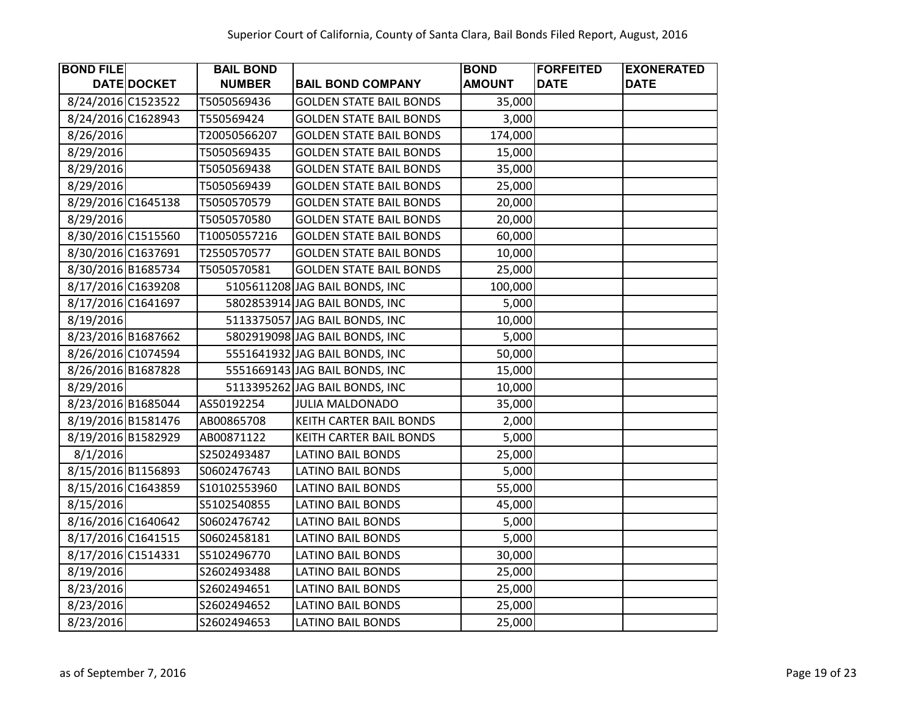| <b>BOND FILE</b>   | <b>BAIL BOND</b> |                                | <b>BOND</b>   | <b>FORFEITED</b> | <b>EXONERATED</b> |
|--------------------|------------------|--------------------------------|---------------|------------------|-------------------|
| DATE DOCKET        | <b>NUMBER</b>    | <b>BAIL BOND COMPANY</b>       | <b>AMOUNT</b> | <b>DATE</b>      | <b>DATE</b>       |
| 8/24/2016 C1523522 | T5050569436      | <b>GOLDEN STATE BAIL BONDS</b> | 35,000        |                  |                   |
| 8/24/2016 C1628943 | T550569424       | <b>GOLDEN STATE BAIL BONDS</b> | 3,000         |                  |                   |
| 8/26/2016          | T20050566207     | <b>GOLDEN STATE BAIL BONDS</b> | 174,000       |                  |                   |
| 8/29/2016          | T5050569435      | <b>GOLDEN STATE BAIL BONDS</b> | 15,000        |                  |                   |
| 8/29/2016          | T5050569438      | <b>GOLDEN STATE BAIL BONDS</b> | 35,000        |                  |                   |
| 8/29/2016          | T5050569439      | <b>GOLDEN STATE BAIL BONDS</b> | 25,000        |                  |                   |
| 8/29/2016 C1645138 | T5050570579      | <b>GOLDEN STATE BAIL BONDS</b> | 20,000        |                  |                   |
| 8/29/2016          | T5050570580      | <b>GOLDEN STATE BAIL BONDS</b> | 20,000        |                  |                   |
| 8/30/2016 C1515560 | T10050557216     | <b>GOLDEN STATE BAIL BONDS</b> | 60,000        |                  |                   |
| 8/30/2016 C1637691 | T2550570577      | <b>GOLDEN STATE BAIL BONDS</b> | 10,000        |                  |                   |
| 8/30/2016 B1685734 | T5050570581      | <b>GOLDEN STATE BAIL BONDS</b> | 25,000        |                  |                   |
| 8/17/2016 C1639208 |                  | 5105611208 JAG BAIL BONDS, INC | 100,000       |                  |                   |
| 8/17/2016 C1641697 |                  | 5802853914 JAG BAIL BONDS, INC | 5,000         |                  |                   |
| 8/19/2016          |                  | 5113375057 JAG BAIL BONDS, INC | 10,000        |                  |                   |
| 8/23/2016 B1687662 |                  | 5802919098 JAG BAIL BONDS, INC | 5,000         |                  |                   |
| 8/26/2016 C1074594 |                  | 5551641932 JAG BAIL BONDS, INC | 50,000        |                  |                   |
| 8/26/2016 B1687828 |                  | 5551669143 JAG BAIL BONDS, INC | 15,000        |                  |                   |
| 8/29/2016          |                  | 5113395262 JAG BAIL BONDS, INC | 10,000        |                  |                   |
| 8/23/2016 B1685044 | AS50192254       | <b>JULIA MALDONADO</b>         | 35,000        |                  |                   |
| 8/19/2016 B1581476 | AB00865708       | KEITH CARTER BAIL BONDS        | 2,000         |                  |                   |
| 8/19/2016 B1582929 | AB00871122       | KEITH CARTER BAIL BONDS        | 5,000         |                  |                   |
| 8/1/2016           | S2502493487      | <b>LATINO BAIL BONDS</b>       | 25,000        |                  |                   |
| 8/15/2016 B1156893 | S0602476743      | <b>LATINO BAIL BONDS</b>       | 5,000         |                  |                   |
| 8/15/2016 C1643859 | S10102553960     | <b>LATINO BAIL BONDS</b>       | 55,000        |                  |                   |
| 8/15/2016          | S5102540855      | <b>LATINO BAIL BONDS</b>       | 45,000        |                  |                   |
| 8/16/2016 C1640642 | S0602476742      | <b>LATINO BAIL BONDS</b>       | 5,000         |                  |                   |
| 8/17/2016 C1641515 | S0602458181      | <b>LATINO BAIL BONDS</b>       | 5,000         |                  |                   |
| 8/17/2016 C1514331 | S5102496770      | <b>LATINO BAIL BONDS</b>       | 30,000        |                  |                   |
| 8/19/2016          | S2602493488      | <b>LATINO BAIL BONDS</b>       | 25,000        |                  |                   |
| 8/23/2016          | S2602494651      | <b>LATINO BAIL BONDS</b>       | 25,000        |                  |                   |
| 8/23/2016          | S2602494652      | LATINO BAIL BONDS              | 25,000        |                  |                   |
| 8/23/2016          | S2602494653      | <b>LATINO BAIL BONDS</b>       | 25,000        |                  |                   |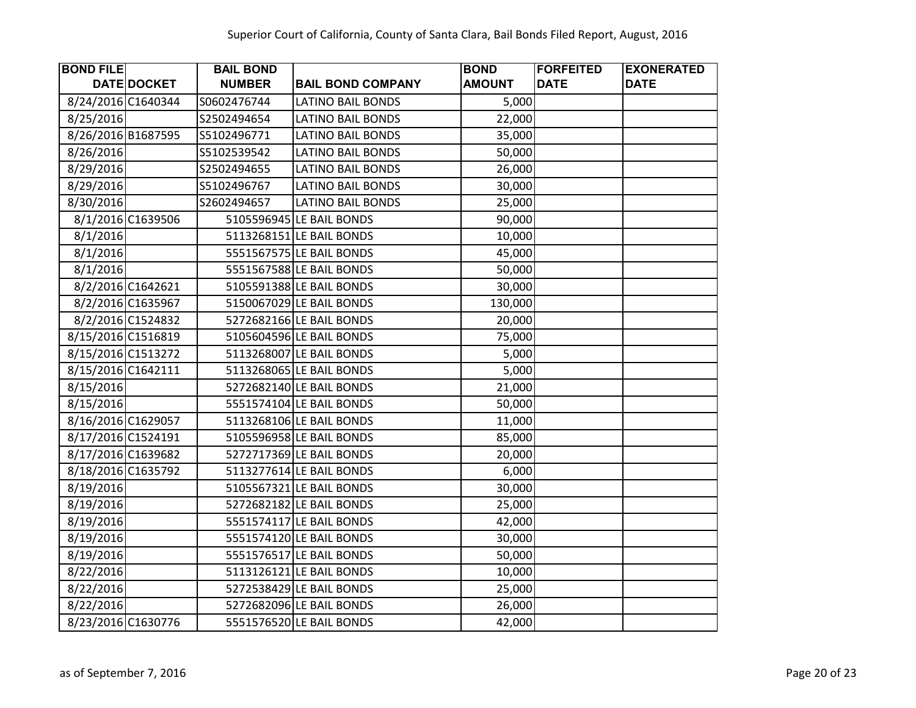| <b>BOND FILE</b>   |                   | <b>BAIL BOND</b> |                          | <b>BOND</b>   | <b>FORFEITED</b> | <b>EXONERATED</b> |
|--------------------|-------------------|------------------|--------------------------|---------------|------------------|-------------------|
|                    | DATE DOCKET       | <b>NUMBER</b>    | <b>BAIL BOND COMPANY</b> | <b>AMOUNT</b> | <b>DATE</b>      | <b>DATE</b>       |
| 8/24/2016 C1640344 |                   | S0602476744      | <b>LATINO BAIL BONDS</b> | 5,000         |                  |                   |
| 8/25/2016          |                   | S2502494654      | <b>LATINO BAIL BONDS</b> | 22,000        |                  |                   |
| 8/26/2016 B1687595 |                   | S5102496771      | <b>LATINO BAIL BONDS</b> | 35,000        |                  |                   |
| 8/26/2016          |                   | S5102539542      | <b>LATINO BAIL BONDS</b> | 50,000        |                  |                   |
| 8/29/2016          |                   | S2502494655      | <b>LATINO BAIL BONDS</b> | 26,000        |                  |                   |
| 8/29/2016          |                   | S5102496767      | <b>LATINO BAIL BONDS</b> | 30,000        |                  |                   |
| 8/30/2016          |                   | S2602494657      | <b>LATINO BAIL BONDS</b> | 25,000        |                  |                   |
|                    | 8/1/2016 C1639506 |                  | 5105596945 LE BAIL BONDS | 90,000        |                  |                   |
| 8/1/2016           |                   |                  | 5113268151 LE BAIL BONDS | 10,000        |                  |                   |
| 8/1/2016           |                   |                  | 5551567575 LE BAIL BONDS | 45,000        |                  |                   |
| 8/1/2016           |                   |                  | 5551567588 LE BAIL BONDS | 50,000        |                  |                   |
|                    | 8/2/2016 C1642621 |                  | 5105591388 LE BAIL BONDS | 30,000        |                  |                   |
|                    | 8/2/2016 C1635967 |                  | 5150067029 LE BAIL BONDS | 130,000       |                  |                   |
|                    | 8/2/2016 C1524832 |                  | 5272682166 LE BAIL BONDS | 20,000        |                  |                   |
| 8/15/2016 C1516819 |                   |                  | 5105604596 LE BAIL BONDS | 75,000        |                  |                   |
| 8/15/2016 C1513272 |                   |                  | 5113268007 LE BAIL BONDS | 5,000         |                  |                   |
| 8/15/2016 C1642111 |                   |                  | 5113268065 LE BAIL BONDS | 5,000         |                  |                   |
| 8/15/2016          |                   |                  | 5272682140 LE BAIL BONDS | 21,000        |                  |                   |
| 8/15/2016          |                   |                  | 5551574104 LE BAIL BONDS | 50,000        |                  |                   |
| 8/16/2016 C1629057 |                   |                  | 5113268106 LE BAIL BONDS | 11,000        |                  |                   |
| 8/17/2016 C1524191 |                   |                  | 5105596958 LE BAIL BONDS | 85,000        |                  |                   |
| 8/17/2016 C1639682 |                   |                  | 5272717369 LE BAIL BONDS | 20,000        |                  |                   |
| 8/18/2016 C1635792 |                   |                  | 5113277614 LE BAIL BONDS | 6,000         |                  |                   |
| 8/19/2016          |                   |                  | 5105567321 LE BAIL BONDS | 30,000        |                  |                   |
| 8/19/2016          |                   |                  | 5272682182 LE BAIL BONDS | 25,000        |                  |                   |
| 8/19/2016          |                   |                  | 5551574117 LE BAIL BONDS | 42,000        |                  |                   |
| 8/19/2016          |                   |                  | 5551574120 LE BAIL BONDS | 30,000        |                  |                   |
| 8/19/2016          |                   |                  | 5551576517 LE BAIL BONDS | 50,000        |                  |                   |
| 8/22/2016          |                   |                  | 5113126121 LE BAIL BONDS | 10,000        |                  |                   |
| 8/22/2016          |                   |                  | 5272538429 LE BAIL BONDS | 25,000        |                  |                   |
| 8/22/2016          |                   |                  | 5272682096 LE BAIL BONDS | 26,000        |                  |                   |
| 8/23/2016 C1630776 |                   |                  | 5551576520 LE BAIL BONDS | 42,000        |                  |                   |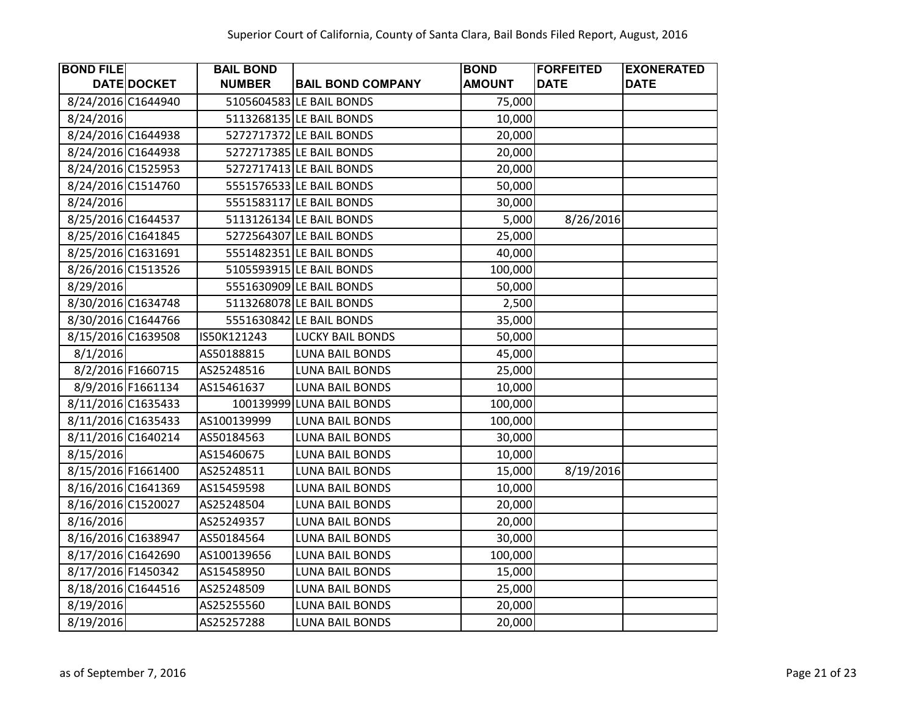| <b>BOND FILE</b>   |                   | <b>BAIL BOND</b> |                           | <b>BOND</b>   | <b>FORFEITED</b> | <b>EXONERATED</b> |
|--------------------|-------------------|------------------|---------------------------|---------------|------------------|-------------------|
|                    | DATE DOCKET       | <b>NUMBER</b>    | <b>BAIL BOND COMPANY</b>  | <b>AMOUNT</b> | <b>DATE</b>      | <b>DATE</b>       |
| 8/24/2016 C1644940 |                   |                  | 5105604583 LE BAIL BONDS  | 75,000        |                  |                   |
| 8/24/2016          |                   |                  | 5113268135 LE BAIL BONDS  | 10,000        |                  |                   |
| 8/24/2016 C1644938 |                   |                  | 5272717372 LE BAIL BONDS  | 20,000        |                  |                   |
| 8/24/2016 C1644938 |                   |                  | 5272717385 LE BAIL BONDS  | 20,000        |                  |                   |
| 8/24/2016 C1525953 |                   |                  | 5272717413 LE BAIL BONDS  | 20,000        |                  |                   |
| 8/24/2016 C1514760 |                   |                  | 5551576533 LE BAIL BONDS  | 50,000        |                  |                   |
| 8/24/2016          |                   |                  | 5551583117 LE BAIL BONDS  | 30,000        |                  |                   |
| 8/25/2016 C1644537 |                   |                  | 5113126134 LE BAIL BONDS  | 5,000         | 8/26/2016        |                   |
| 8/25/2016 C1641845 |                   |                  | 5272564307 LE BAIL BONDS  | 25,000        |                  |                   |
| 8/25/2016 C1631691 |                   |                  | 5551482351 LE BAIL BONDS  | 40,000        |                  |                   |
| 8/26/2016 C1513526 |                   |                  | 5105593915 LE BAIL BONDS  | 100,000       |                  |                   |
| 8/29/2016          |                   |                  | 5551630909 LE BAIL BONDS  | 50,000        |                  |                   |
| 8/30/2016 C1634748 |                   |                  | 5113268078 LE BAIL BONDS  | 2,500         |                  |                   |
| 8/30/2016 C1644766 |                   |                  | 5551630842 LE BAIL BONDS  | 35,000        |                  |                   |
| 8/15/2016 C1639508 |                   | IS50K121243      | <b>LUCKY BAIL BONDS</b>   | 50,000        |                  |                   |
| 8/1/2016           |                   | AS50188815       | <b>LUNA BAIL BONDS</b>    | 45,000        |                  |                   |
| 8/2/2016 F1660715  |                   | AS25248516       | <b>LUNA BAIL BONDS</b>    | 25,000        |                  |                   |
|                    | 8/9/2016 F1661134 | AS15461637       | <b>LUNA BAIL BONDS</b>    | 10,000        |                  |                   |
| 8/11/2016 C1635433 |                   |                  | 100139999 LUNA BAIL BONDS | 100,000       |                  |                   |
| 8/11/2016 C1635433 |                   | AS100139999      | <b>LUNA BAIL BONDS</b>    | 100,000       |                  |                   |
| 8/11/2016 C1640214 |                   | AS50184563       | <b>LUNA BAIL BONDS</b>    | 30,000        |                  |                   |
| 8/15/2016          |                   | AS15460675       | <b>LUNA BAIL BONDS</b>    | 10,000        |                  |                   |
| 8/15/2016 F1661400 |                   | AS25248511       | <b>LUNA BAIL BONDS</b>    | 15,000        | 8/19/2016        |                   |
| 8/16/2016 C1641369 |                   | AS15459598       | <b>LUNA BAIL BONDS</b>    | 10,000        |                  |                   |
| 8/16/2016 C1520027 |                   | AS25248504       | <b>LUNA BAIL BONDS</b>    | 20,000        |                  |                   |
| 8/16/2016          |                   | AS25249357       | <b>LUNA BAIL BONDS</b>    | 20,000        |                  |                   |
| 8/16/2016 C1638947 |                   | AS50184564       | <b>LUNA BAIL BONDS</b>    | 30,000        |                  |                   |
| 8/17/2016 C1642690 |                   | AS100139656      | <b>LUNA BAIL BONDS</b>    | 100,000       |                  |                   |
| 8/17/2016 F1450342 |                   | AS15458950       | <b>LUNA BAIL BONDS</b>    | 15,000        |                  |                   |
| 8/18/2016 C1644516 |                   | AS25248509       | <b>LUNA BAIL BONDS</b>    | 25,000        |                  |                   |
| 8/19/2016          |                   | AS25255560       | LUNA BAIL BONDS           | 20,000        |                  |                   |
| 8/19/2016          |                   | AS25257288       | <b>LUNA BAIL BONDS</b>    | 20,000        |                  |                   |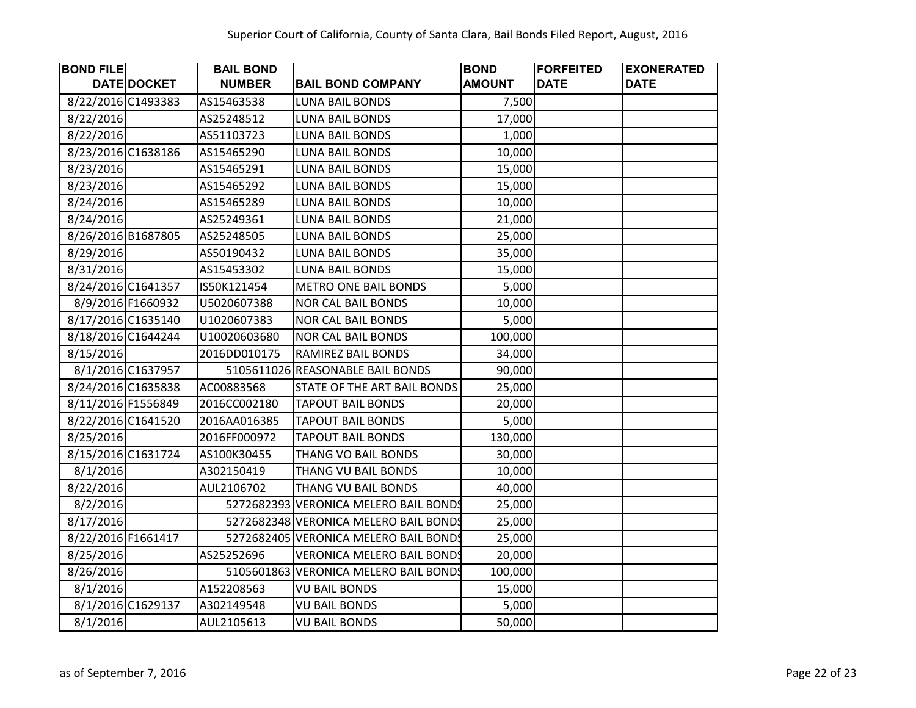| <b>BOND FILE</b>   |                   | <b>BAIL BOND</b> |                                       | <b>BOND</b>   | <b>FORFEITED</b> | <b>EXONERATED</b> |
|--------------------|-------------------|------------------|---------------------------------------|---------------|------------------|-------------------|
|                    | DATE DOCKET       | <b>NUMBER</b>    | <b>BAIL BOND COMPANY</b>              | <b>AMOUNT</b> | <b>DATE</b>      | <b>DATE</b>       |
| 8/22/2016 C1493383 |                   | AS15463538       | <b>LUNA BAIL BONDS</b>                | 7,500         |                  |                   |
| 8/22/2016          |                   | AS25248512       | <b>LUNA BAIL BONDS</b>                | 17,000        |                  |                   |
| 8/22/2016          |                   | AS51103723       | <b>LUNA BAIL BONDS</b>                | 1,000         |                  |                   |
| 8/23/2016 C1638186 |                   | AS15465290       | <b>LUNA BAIL BONDS</b>                | 10,000        |                  |                   |
| 8/23/2016          |                   | AS15465291       | LUNA BAIL BONDS                       | 15,000        |                  |                   |
| 8/23/2016          |                   | AS15465292       | <b>LUNA BAIL BONDS</b>                | 15,000        |                  |                   |
| 8/24/2016          |                   | AS15465289       | <b>LUNA BAIL BONDS</b>                | 10,000        |                  |                   |
| 8/24/2016          |                   | AS25249361       | <b>LUNA BAIL BONDS</b>                | 21,000        |                  |                   |
| 8/26/2016 B1687805 |                   | AS25248505       | <b>LUNA BAIL BONDS</b>                | 25,000        |                  |                   |
| 8/29/2016          |                   | AS50190432       | <b>LUNA BAIL BONDS</b>                | 35,000        |                  |                   |
| 8/31/2016          |                   | AS15453302       | <b>LUNA BAIL BONDS</b>                | 15,000        |                  |                   |
| 8/24/2016 C1641357 |                   | IS50K121454      | <b>METRO ONE BAIL BONDS</b>           | 5,000         |                  |                   |
| 8/9/2016 F1660932  |                   | U5020607388      | <b>NOR CAL BAIL BONDS</b>             | 10,000        |                  |                   |
| 8/17/2016 C1635140 |                   | U1020607383      | <b>NOR CAL BAIL BONDS</b>             | 5,000         |                  |                   |
| 8/18/2016 C1644244 |                   | U10020603680     | <b>NOR CAL BAIL BONDS</b>             | 100,000       |                  |                   |
| 8/15/2016          |                   | 2016DD010175     | RAMIREZ BAIL BONDS                    | 34,000        |                  |                   |
|                    | 8/1/2016 C1637957 |                  | 5105611026 REASONABLE BAIL BONDS      | 90,000        |                  |                   |
| 8/24/2016 C1635838 |                   | AC00883568       | STATE OF THE ART BAIL BONDS           | 25,000        |                  |                   |
| 8/11/2016 F1556849 |                   | 2016CC002180     | <b>TAPOUT BAIL BONDS</b>              | 20,000        |                  |                   |
| 8/22/2016 C1641520 |                   | 2016AA016385     | <b>TAPOUT BAIL BONDS</b>              | 5,000         |                  |                   |
| 8/25/2016          |                   | 2016FF000972     | <b>TAPOUT BAIL BONDS</b>              | 130,000       |                  |                   |
| 8/15/2016 C1631724 |                   | AS100K30455      | THANG VO BAIL BONDS                   | 30,000        |                  |                   |
| 8/1/2016           |                   | A302150419       | THANG VU BAIL BONDS                   | 10,000        |                  |                   |
| 8/22/2016          |                   | AUL2106702       | THANG VU BAIL BONDS                   | 40,000        |                  |                   |
| 8/2/2016           |                   |                  | 5272682393 VERONICA MELERO BAIL BONDS | 25,000        |                  |                   |
| 8/17/2016          |                   |                  | 5272682348 VERONICA MELERO BAIL BONDS | 25,000        |                  |                   |
| 8/22/2016 F1661417 |                   |                  | 5272682405 VERONICA MELERO BAIL BONDS | 25,000        |                  |                   |
| 8/25/2016          |                   | AS25252696       | <b>VERONICA MELERO BAIL BONDS</b>     | 20,000        |                  |                   |
| 8/26/2016          |                   |                  | 5105601863 VERONICA MELERO BAIL BONDS | 100,000       |                  |                   |
| 8/1/2016           |                   | A152208563       | <b>VU BAIL BONDS</b>                  | 15,000        |                  |                   |
|                    | 8/1/2016 C1629137 | A302149548       | <b>VU BAIL BONDS</b>                  | 5,000         |                  |                   |
| 8/1/2016           |                   | AUL2105613       | <b>VU BAIL BONDS</b>                  | 50,000        |                  |                   |